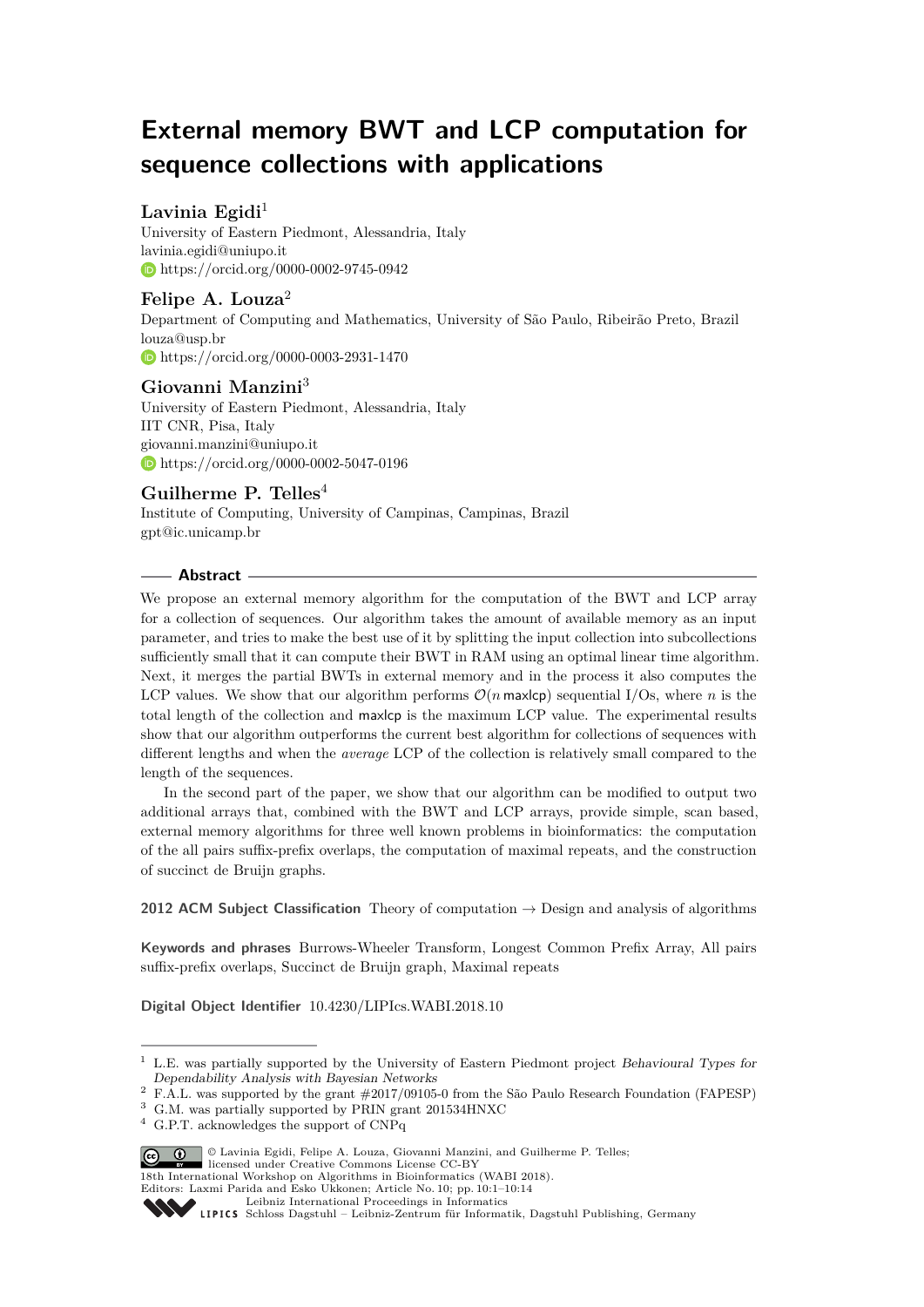# **External memory BWT and LCP computation for sequence collections with applications**

# Lavinia Egidi<sup>1</sup>

University of Eastern Piedmont, Alessandria, Italy [lavinia.egidi@uniupo.it](mailto:lavinia.egidi@uniupo.it ) <https://orcid.org/0000-0002-9745-0942>

# **Felipe A. Louza**<sup>2</sup>

Department of Computing and Mathematics, University of São Paulo, Ribeirão Preto, Brazil [louza@usp.br](mailto:louza@usp.br) <https://orcid.org/0000-0003-2931-1470>

## **Giovanni Manzini**<sup>3</sup>

University of Eastern Piedmont, Alessandria, Italy IIT CNR, Pisa, Italy [giovanni.manzini@uniupo.it](mailto:giovanni.manzini@uniupo.it) <https://orcid.org/0000-0002-5047-0196>

# **Guilherme P. Telles**<sup>4</sup>

Institute of Computing, University of Campinas, Campinas, Brazil [gpt@ic.unicamp.br](mailto:gpt@ic.unicamp.br)

## **Abstract**

We propose an external memory algorithm for the computation of the BWT and LCP array for a collection of sequences. Our algorithm takes the amount of available memory as an input parameter, and tries to make the best use of it by splitting the input collection into subcollections sufficiently small that it can compute their BWT in RAM using an optimal linear time algorithm. Next, it merges the partial BWTs in external memory and in the process it also computes the LCP values. We show that our algorithm performs  $\mathcal{O}(n \text{ max} \log p)$  sequential I/Os, where *n* is the total length of the collection and maxlcp is the maximum LCP value. The experimental results show that our algorithm outperforms the current best algorithm for collections of sequences with different lengths and when the *average* LCP of the collection is relatively small compared to the length of the sequences.

In the second part of the paper, we show that our algorithm can be modified to output two additional arrays that, combined with the BWT and LCP arrays, provide simple, scan based, external memory algorithms for three well known problems in bioinformatics: the computation of the all pairs suffix-prefix overlaps, the computation of maximal repeats, and the construction of succinct de Bruijn graphs.

**2012 ACM Subject Classification** Theory of computation → Design and analysis of algorithms

**Keywords and phrases** Burrows-Wheeler Transform, Longest Common Prefix Array, All pairs suffix-prefix overlaps, Succinct de Bruijn graph, Maximal repeats

**Digital Object Identifier** [10.4230/LIPIcs.WABI.2018.10](http://dx.doi.org/10.4230/LIPIcs.WABI.2018.10)

<sup>4</sup> G.P.T. acknowledges the support of CNPq



18th International Workshop on Algorithms in Bioinformatics (WABI 2018).

Editors: Laxmi Parida and Esko Ukkonen; Article No. 10; pp. 10:1–10[:14](#page-13-0)

[Leibniz International Proceedings in Informatics](http://www.dagstuhl.de/lipics/)

<sup>&</sup>lt;sup>1</sup> L.E. was partially supported by the University of Eastern Piedmont project Behavioural Types for Dependability Analysis with Bayesian Networks

<sup>&</sup>lt;sup>2</sup> F.A.L. was supported by the grant  $\#2017/09105$ -0 from the São Paulo Research Foundation (FAPESP)

<sup>3</sup> G.M. was partially supported by PRIN grant 201534HNXC

Leibniz International Froceedings in Informatik, Dagstuhl Publishing, Germany<br>LIPICS [Schloss Dagstuhl – Leibniz-Zentrum für Informatik, Dagstuhl Publishing, Germany](http://www.dagstuhl.de)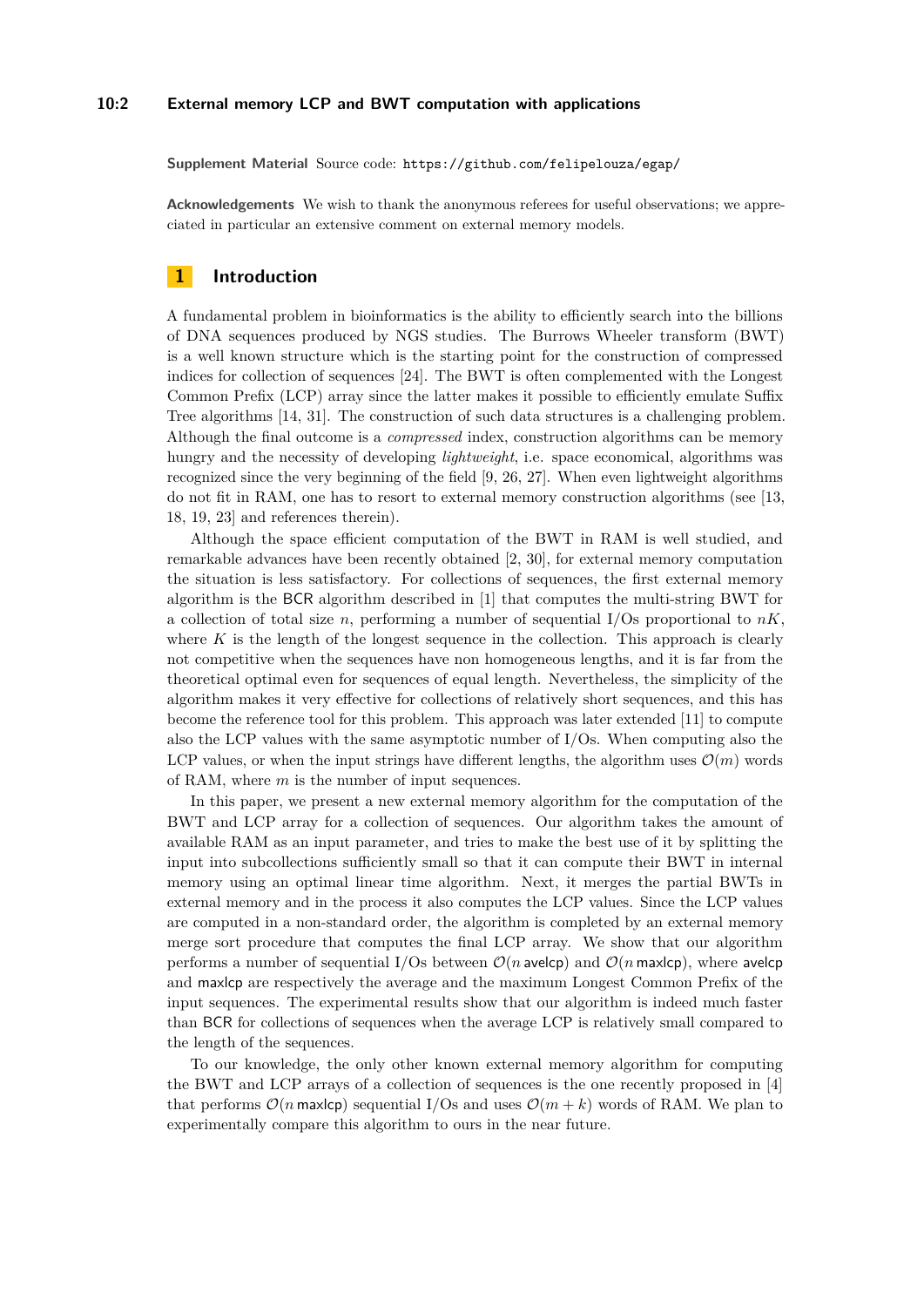#### **10:2 External memory LCP and BWT computation with applications**

**Supplement Material** Source code: <https://github.com/felipelouza/egap/>

**Acknowledgements** We wish to thank the anonymous referees for useful observations; we appreciated in particular an extensive comment on external memory models.

## **1 Introduction**

A fundamental problem in bioinformatics is the ability to efficiently search into the billions of DNA sequences produced by NGS studies. The Burrows Wheeler transform (BWT) is a well known structure which is the starting point for the construction of compressed indices for collection of sequences [\[24\]](#page-13-1). The BWT is often complemented with the Longest Common Prefix (LCP) array since the latter makes it possible to efficiently emulate Suffix Tree algorithms [\[14,](#page-12-0) [31\]](#page-13-2). The construction of such data structures is a challenging problem. Although the final outcome is a *compressed* index, construction algorithms can be memory hungry and the necessity of developing *lightweight*, i.e. space economical, algorithms was recognized since the very beginning of the field [\[9,](#page-12-1) [26,](#page-13-3) [27\]](#page-13-4). When even lightweight algorithms do not fit in RAM, one has to resort to external memory construction algorithms (see [\[13,](#page-12-2) [18,](#page-12-3) [19,](#page-12-4) [23\]](#page-13-5) and references therein).

Although the space efficient computation of the BWT in RAM is well studied, and remarkable advances have been recently obtained [\[2,](#page-12-5) [30\]](#page-13-6), for external memory computation the situation is less satisfactory. For collections of sequences, the first external memory algorithm is the BCR algorithm described in [\[1\]](#page-12-6) that computes the multi-string BWT for a collection of total size *n*, performing a number of sequential I/Os proportional to  $nK$ , where  $K$  is the length of the longest sequence in the collection. This approach is clearly not competitive when the sequences have non homogeneous lengths, and it is far from the theoretical optimal even for sequences of equal length. Nevertheless, the simplicity of the algorithm makes it very effective for collections of relatively short sequences, and this has become the reference tool for this problem. This approach was later extended [\[11\]](#page-12-7) to compute also the LCP values with the same asymptotic number of I/Os. When computing also the LCP values, or when the input strings have different lengths, the algorithm uses  $\mathcal{O}(m)$  words of RAM, where *m* is the number of input sequences.

In this paper, we present a new external memory algorithm for the computation of the BWT and LCP array for a collection of sequences. Our algorithm takes the amount of available RAM as an input parameter, and tries to make the best use of it by splitting the input into subcollections sufficiently small so that it can compute their BWT in internal memory using an optimal linear time algorithm. Next, it merges the partial BWTs in external memory and in the process it also computes the LCP values. Since the LCP values are computed in a non-standard order, the algorithm is completed by an external memory merge sort procedure that computes the final LCP array. We show that our algorithm performs a number of sequential I/Os between  $\mathcal{O}(n)$  avelcp) and  $\mathcal{O}(n)$  maxlcp), where avelcp and maxlcp are respectively the average and the maximum Longest Common Prefix of the input sequences. The experimental results show that our algorithm is indeed much faster than BCR for collections of sequences when the average LCP is relatively small compared to the length of the sequences.

To our knowledge, the only other known external memory algorithm for computing the BWT and LCP arrays of a collection of sequences is the one recently proposed in [\[4\]](#page-12-8) that performs  $\mathcal{O}(n \text{ max} \log n)$  sequential I/Os and uses  $\mathcal{O}(m + k)$  words of RAM. We plan to experimentally compare this algorithm to ours in the near future.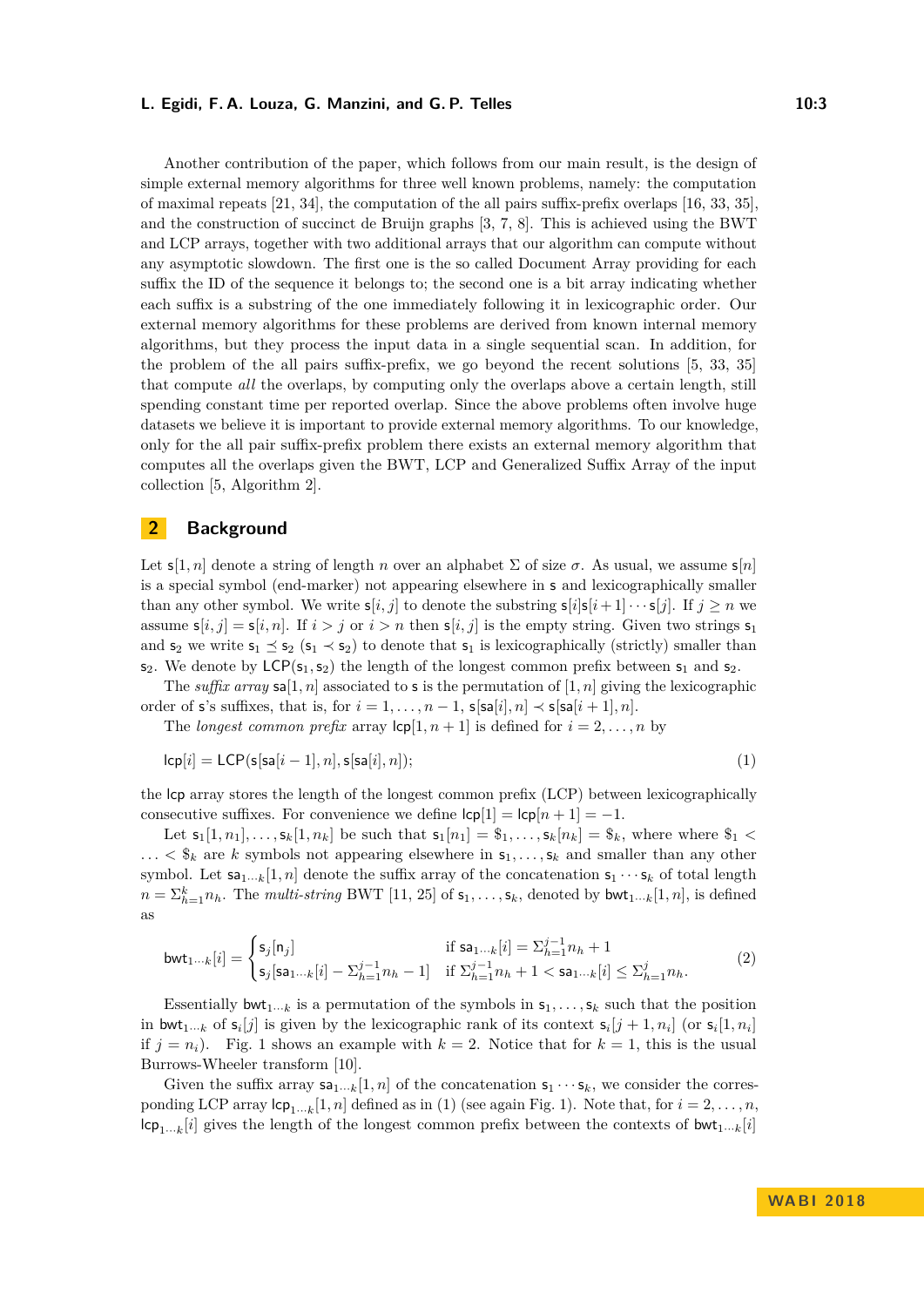#### **L. Egidi, F. A. Louza, G. Manzini, and G. P. Telles 10:3** 10:3

Another contribution of the paper, which follows from our main result, is the design of simple external memory algorithms for three well known problems, namely: the computation of maximal repeats [\[21,](#page-13-7) [34\]](#page-13-8), the computation of the all pairs suffix-prefix overlaps [\[16,](#page-12-9) [33,](#page-13-9) [35\]](#page-13-10), and the construction of succinct de Bruijn graphs [\[3,](#page-12-10) [7,](#page-12-11) [8\]](#page-12-12). This is achieved using the BWT and LCP arrays, together with two additional arrays that our algorithm can compute without any asymptotic slowdown. The first one is the so called Document Array providing for each suffix the ID of the sequence it belongs to; the second one is a bit array indicating whether each suffix is a substring of the one immediately following it in lexicographic order. Our external memory algorithms for these problems are derived from known internal memory algorithms, but they process the input data in a single sequential scan. In addition, for the problem of the all pairs suffix-prefix, we go beyond the recent solutions [\[5,](#page-12-13) [33,](#page-13-9) [35\]](#page-13-10) that compute *all* the overlaps, by computing only the overlaps above a certain length, still spending constant time per reported overlap. Since the above problems often involve huge datasets we believe it is important to provide external memory algorithms. To our knowledge, only for the all pair suffix-prefix problem there exists an external memory algorithm that computes all the overlaps given the BWT, LCP and Generalized Suffix Array of the input collection [\[5,](#page-12-13) Algorithm 2].

# <span id="page-2-2"></span>**2 Background**

Let  $s[1, n]$  denote a string of length *n* over an alphabet  $\Sigma$  of size  $\sigma$ . As usual, we assume  $s[n]$ is a special symbol (end-marker) not appearing elsewhere in s and lexicographically smaller than any other symbol. We write  $s[i, j]$  to denote the substring  $s[i]s[i+1] \cdots s[j]$ . If  $j \geq n$  we assume  $s[i, j] = s[i, n]$ . If  $i > j$  or  $i > n$  then  $s[i, j]$  is the empty string. Given two strings  $s_1$ and  $s_2$  we write  $s_1 \leq s_2$  ( $s_1 \prec s_2$ ) to denote that  $s_1$  is lexicographically (strictly) smaller than  $s_2$ . We denote by  $LCP(s_1, s_2)$  the length of the longest common prefix between  $s_1$  and  $s_2$ .

The *suffix array*  $\mathsf{sa}[1,n]$  associated to s is the permutation of  $[1,n]$  giving the lexicographic order of s's suffixes, that is, for  $i = 1, \ldots, n - 1$ ,  $s[sa[i], n] \prec s[sa[i+1], n]$ .

<span id="page-2-0"></span>The *longest common prefix* array  $\text{lcp}[1, n+1]$  is defined for  $i = 2, \ldots, n$  by

$$
lcp[i] = LCP(s[sa[i-1], n], s[sa[i], n]);
$$
\n
$$
(1)
$$

the lcp array stores the length of the longest common prefix (LCP) between lexicographically consecutive suffixes. For convenience we define  $|cp|1| = |cp|n + 1| = -1$ .

Let  $s_1[1, n_1], \ldots, s_k[1, n_k]$  be such that  $s_1[n_1] = \S_1, \ldots, s_k[n_k] = \S_k$ , where where  $\S_1$  <  $\ldots$  <  $\$_k$  are *k* symbols not appearing elsewhere in  $\mathsf{s}_1, \ldots, \mathsf{s}_k$  and smaller than any other symbol. Let  $\mathsf{sa}_{1\cdots k}[1,n]$  denote the suffix array of the concatenation  $\mathsf{s}_1 \cdots \mathsf{s}_k$  of total length  $n = \sum_{h=1}^{k} n_h$ . The *multi-string* BWT [\[11,](#page-12-7) [25\]](#page-13-11) of  $s_1, \ldots, s_k$ , denoted by  $\mathsf{bwt}_{1\cdots k}[1,n]$ , is defined as

<span id="page-2-1"></span>
$$
\text{bwt}_{1\cdots k}[i] = \begin{cases} \mathsf{s}_j[\mathsf{n}_j] & \text{if } \mathsf{sa}_{1\cdots k}[i] = \sum_{h=1}^{j-1} n_h + 1\\ \mathsf{s}_j[\mathsf{sa}_{1\cdots k}[i] - \sum_{h=1}^{j-1} n_h - 1] & \text{if } \sum_{h=1}^{j-1} n_h + 1 < \mathsf{sa}_{1\cdots k}[i] \leq \sum_{h=1}^{j} n_h. \end{cases} \tag{2}
$$

Essentially  $\mathsf{bwt}_{1\cdots k}$  is a permutation of the symbols in  $\mathsf{s}_1,\ldots,\mathsf{s}_k$  such that the position in bwt<sub>1</sub>...<sub>*k*</sub> of  $s_i[j]$  is given by the lexicographic rank of its context  $s_i[j+1, n_i]$  (or  $s_i[1, n_i]$ ) if  $j = n<sub>i</sub>$ ). Fig. [1](#page-3-0) shows an example with  $k = 2$ . Notice that for  $k = 1$ , this is the usual Burrows-Wheeler transform [\[10\]](#page-12-14).

Given the suffix array  $s_1...k[1,n]$  of the concatenation  $s_1 \cdots s_k$ , we consider the corresponding LCP array  $\mathsf{lcp}_{1\cdots k}[1,n]$  defined as in [\(1\)](#page-2-0) (see again Fig. [1\)](#page-3-0). Note that, for  $i = 2, \ldots, n$ ,  $|c_{p_1...k}[i]$  gives the length of the longest common prefix between the contexts of  $bwt_{1...k}[i]$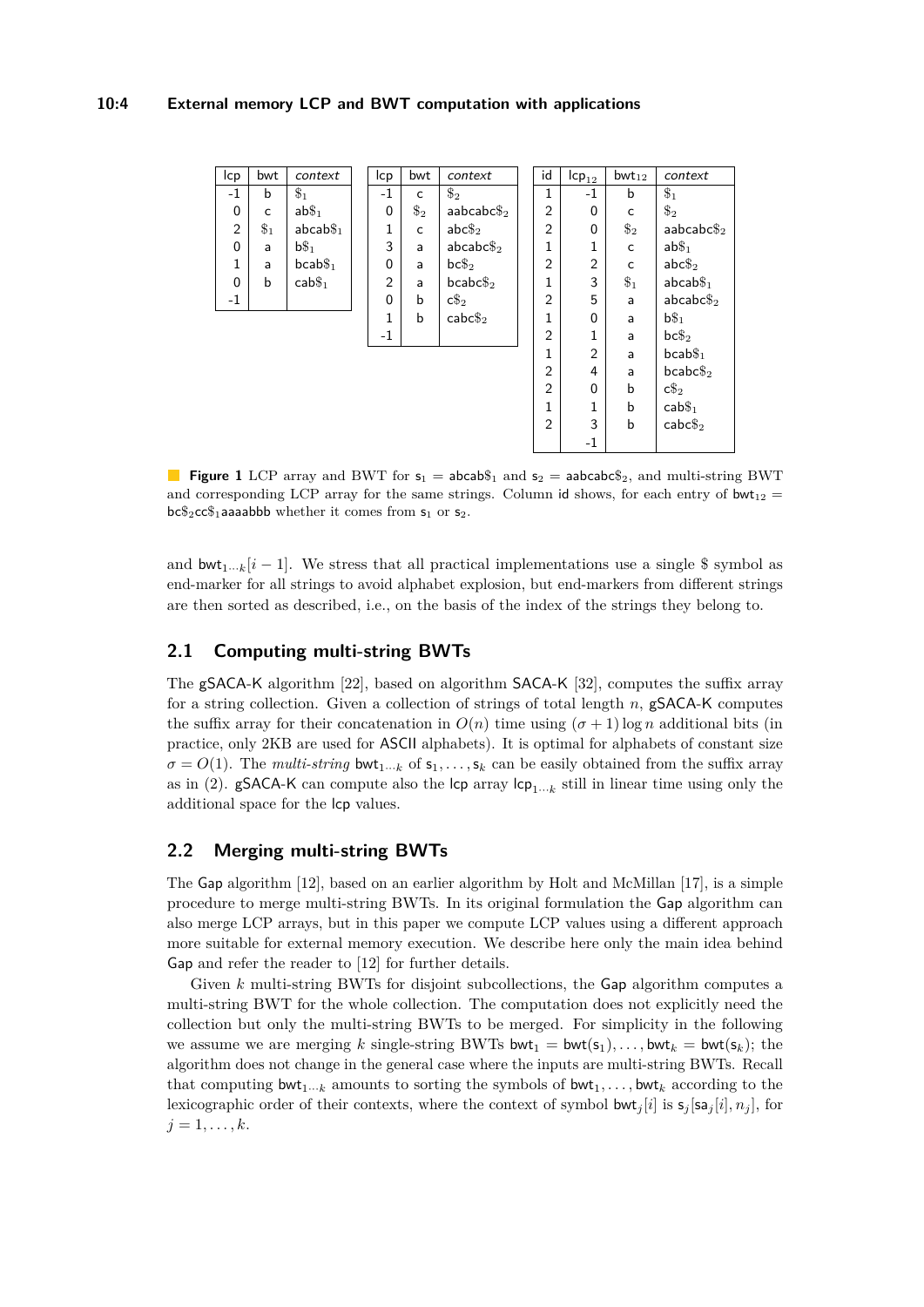### **10:4 External memory LCP and BWT computation with applications**

<span id="page-3-0"></span>

| Icp            | bwt    | context               | lcp            | bwt    | context                | id             | $\mathsf{lcp}_{12}$ | $bwt_{12}$ | context             |
|----------------|--------|-----------------------|----------------|--------|------------------------|----------------|---------------------|------------|---------------------|
| $-1$           | b      | $\$_1$                | $-1$           | c      | $\$_2$                 | 1              | $-1$                | b          | $\$_1$              |
| $\mathbf 0$    | C      | $ab\$_1$              | $\Omega$       | $\$_2$ | aabcabc $\$_2$         | $\overline{2}$ | $\Omega$            | C          | $\$_2$              |
| $\overline{2}$ | $\$_1$ | $abcab\$ <sub>1</sub> | 1              | c      | $abc\$ 2               | $\overline{2}$ | $\mathbf 0$         | $\$_2$     | aabcabc $\$_2$      |
| $\Omega$       | a      | $b\$\_1$              | 3              | a      | $abcabc\$ <sub>2</sub> | 1              | 1                   | C          | $ab\$_1$            |
| 1              | a      | $bcab\$_1$            | $\Omega$       | a      | $bc\$_2$               | $\overline{2}$ | $\overline{2}$      | C          | $abc\$ 2            |
| $\Omega$       | b      | cab <sub>1</sub>      | $\overline{2}$ | a      | $bcabc\$_2$            | 1              | 3                   | $\$_1$     | $abcab\$_1$         |
| -1             |        |                       | 0              | b      | $c\$_2$                | $\overline{2}$ | 5                   | a          | abcabc              |
|                |        |                       | 1              | b      | $\mathsf{cabc}\$_2$    | 1              | $\Omega$            | a          | $b\$\_1$            |
|                |        |                       | $-1$           |        |                        | $\overline{2}$ | 1                   | a          | $bc\$_2$            |
|                |        |                       |                |        |                        | 1              | $\overline{2}$      | a          | $bcab\$_1$          |
|                |        |                       |                |        |                        | $\overline{2}$ | 4                   | a          | $bcabc\$_2$         |
|                |        |                       |                |        |                        | $\overline{2}$ | $\Omega$            | b          | $c\$_2$             |
|                |        |                       |                |        |                        | $\mathbf{1}$   | 1                   | b          | cab <sub>1</sub>    |
|                |        |                       |                |        |                        | $\overline{2}$ | 3                   | b          | $\mathsf{cabc}\$_2$ |
|                |        |                       |                |        |                        |                | $-1$                |            |                     |

**Figure 1** LCP array and BWT for  $s_1 = \text{abcab}\$ <sub>1</sub> and  $s_2 = \text{abcab}\epsilon_2^2$ , and multi-string BWT and corresponding LCP array for the same strings. Column id shows, for each entry of bwt<sub>12</sub> =  $bc\$ <sub>2</sub>cc $\frac{6}{1}$ aaaabbb whether it comes from  $s_1$  or  $s_2$ .

and  $\text{bwt}_{1\cdots k}[i-1]$ . We stress that all practical implementations use a single \$ symbol as end-marker for all strings to avoid alphabet explosion, but end-markers from different strings are then sorted as described, i.e., on the basis of the index of the strings they belong to.

# **2.1 Computing multi-string BWTs**

The gSACA-K algorithm [\[22\]](#page-13-12), based on algorithm SACA-K [\[32\]](#page-13-13), computes the suffix array for a string collection. Given a collection of strings of total length *n*, gSACA-K computes the suffix array for their concatenation in  $O(n)$  time using  $(\sigma + 1)$  log *n* additional bits (in practice, only 2KB are used for ASCII alphabets). It is optimal for alphabets of constant size  $\sigma = O(1)$ . The *multi-string* bwt<sub>1</sub>...<sub>*k*</sub> of  $s_1, \ldots, s_k$  can be easily obtained from the suffix array as in [\(2\)](#page-2-1). **gSACA-K** can compute also the  $\mathsf{lcp}$  array  $\mathsf{lcp}_{1\cdots k}$  still in linear time using only the additional space for the lcp values.

# **2.2 Merging multi-string BWTs**

The Gap algorithm [\[12\]](#page-12-15), based on an earlier algorithm by Holt and McMillan [\[17\]](#page-12-16), is a simple procedure to merge multi-string BWTs. In its original formulation the Gap algorithm can also merge LCP arrays, but in this paper we compute LCP values using a different approach more suitable for external memory execution. We describe here only the main idea behind Gap and refer the reader to [\[12\]](#page-12-15) for further details.

Given *k* multi-string BWTs for disjoint subcollections, the Gap algorithm computes a multi-string BWT for the whole collection. The computation does not explicitly need the collection but only the multi-string BWTs to be merged. For simplicity in the following we assume we are merging k single-string BWTs bwt<sub>1</sub> = bwt( $s_1$ ),..., bwt<sub>k</sub> = bwt( $s_k$ ); the algorithm does not change in the general case where the inputs are multi-string BWTs. Recall that computing  $\text{bwt}_{1\cdots k}$  amounts to sorting the symbols of  $\text{bwt}_{1}, \ldots, \text{bwt}_{k}$  according to the lexicographic order of their contexts, where the context of symbol  $\mathsf{bwt}_i[i]$  is  $\mathsf{s}_i[\mathsf{sa}_i[i], n_i]$ , for  $j = 1, \ldots, k$ .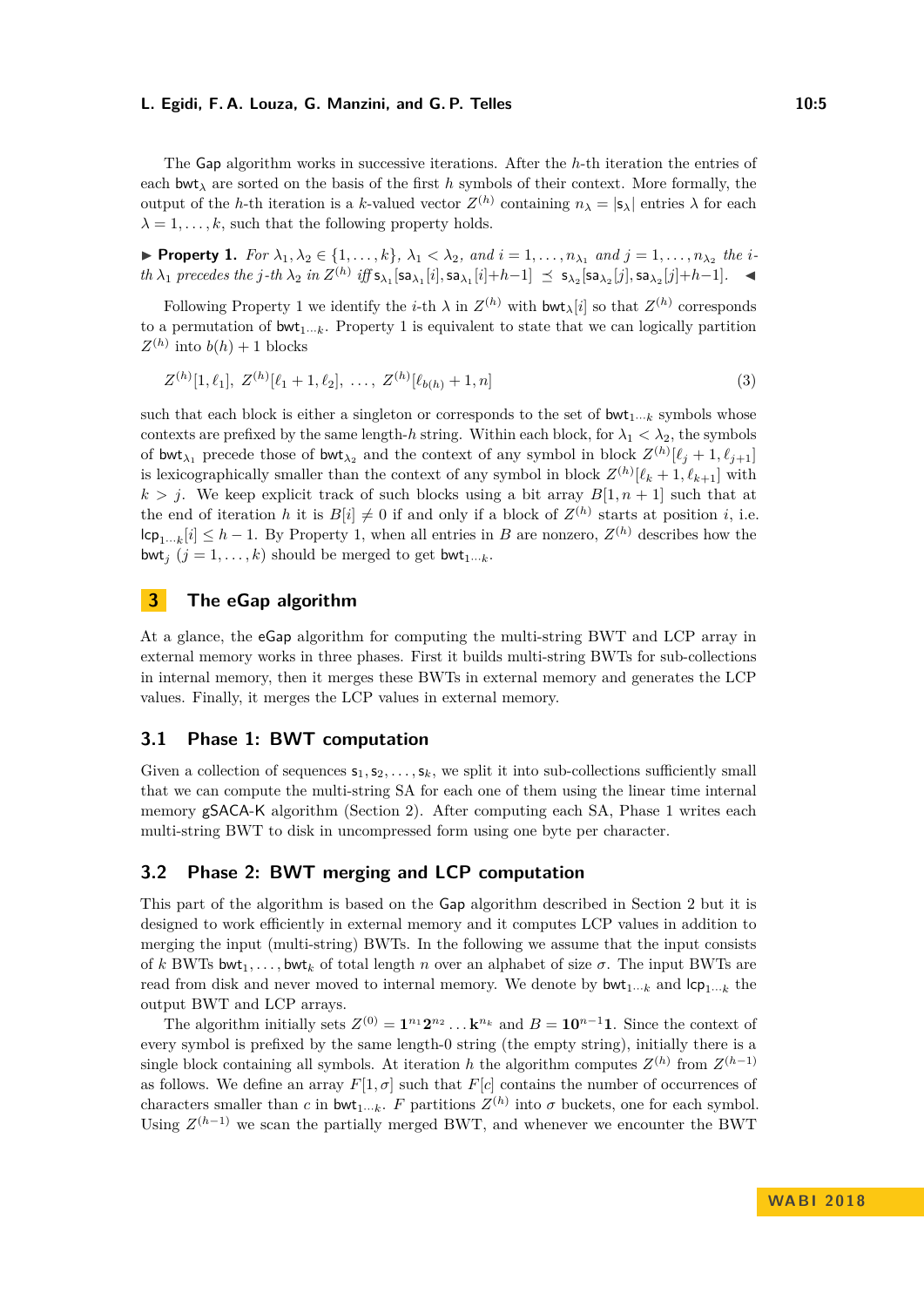#### **L. Egidi, F. A. Louza, G. Manzini, and G. P. Telles 10:5** 10:5

The Gap algorithm works in successive iterations. After the *h*-th iteration the entries of each bwt*<sup>λ</sup>* are sorted on the basis of the first *h* symbols of their context. More formally, the output of the *h*-th iteration is a *k*-valued vector  $Z^{(h)}$  containing  $n_{\lambda} = |s_{\lambda}|$  entries  $\lambda$  for each  $\lambda = 1, \ldots, k$ , such that the following property holds.

<span id="page-4-0"></span>► Property 1. For  $\lambda_1, \lambda_2 \in \{1, ..., k\}$ ,  $\lambda_1 < \lambda_2$ , and  $i = 1, ..., n_{\lambda_1}$  and  $j = 1, ..., n_{\lambda_2}$  the ith  $\lambda_1$  precedes the j-th  $\lambda_2$  in  $Z^{(h)}$  iff  $s_{\lambda_1}[s_{\lambda_1}[i], s_{\lambda_1}[i]+h-1] \preceq s_{\lambda_2}[s_{\lambda_2}[j], s_{\lambda_2}[j]+h-1]$ .

Following Property [1](#page-4-0) we identify the *i*-th  $\lambda$  in  $Z^{(h)}$  with bwt<sub> $\lambda$ </sub>[*i*] so that  $Z^{(h)}$  corresponds to a permutation of  $\text{bwt}_{1\cdots k}$ . Property [1](#page-4-0) is equivalent to state that we can logically partition  $Z^{(h)}$  into  $b(h) + 1$  blocks

$$
Z^{(h)}[1,\ell_1], Z^{(h)}[\ell_1+1,\ell_2], \ldots, Z^{(h)}[\ell_{b(h)}+1,n]
$$
\n
$$
(3)
$$

such that each block is either a singleton or corresponds to the set of  $\mathsf{bwt}_{1\cdots k}$  symbols whose contexts are prefixed by the same length-*h* string. Within each block, for  $\lambda_1 < \lambda_2$ , the symbols of bwt<sub> $\lambda_1$ </sub> precede those of bwt<sub> $\lambda_2$ </sub> and the context of any symbol in block  $Z^{(h)}[\ell_j + 1, \ell_{j+1}]$ is lexicographically smaller than the context of any symbol in block  $Z^{(h)}[\ell_k + 1, \ell_{k+1}]$  with  $k > j$ . We keep explicit track of such blocks using a bit array  $B[1, n + 1]$  such that at the end of iteration *h* it is  $B[i] \neq 0$  if and only if a block of  $Z^{(h)}$  starts at position *i*, i.e.  $|c_{p_1...k}[i] \leq h-1$ . By Property [1,](#page-4-0) when all entries in *B* are nonzero,  $Z^{(h)}$  describes how the bwt<sub>*i*</sub>  $(j = 1, \ldots, k)$  should be merged to get bwt<sub>1</sub>...<sub>*k*</sub>.

# <span id="page-4-1"></span>**3 The eGap algorithm**

At a glance, the eGap algorithm for computing the multi-string BWT and LCP array in external memory works in three phases. First it builds multi-string BWTs for sub-collections in internal memory, then it merges these BWTs in external memory and generates the LCP values. Finally, it merges the LCP values in external memory.

## **3.1 Phase 1: BWT computation**

Given a collection of sequences  $s_1, s_2, \ldots, s_k$ , we split it into sub-collections sufficiently small that we can compute the multi-string SA for each one of them using the linear time internal memory gSACA-K algorithm (Section [2\)](#page-2-2). After computing each SA, Phase 1 writes each multi-string BWT to disk in uncompressed form using one byte per character.

# **3.2 Phase 2: BWT merging and LCP computation**

This part of the algorithm is based on the Gap algorithm described in Section [2](#page-2-2) but it is designed to work efficiently in external memory and it computes LCP values in addition to merging the input (multi-string) BWTs. In the following we assume that the input consists of *k* BWTs bwt<sub>1</sub>,..., bwt<sub>k</sub> of total length *n* over an alphabet of size  $\sigma$ . The input BWTs are read from disk and never moved to internal memory. We denote by  $\text{bwt}_{1\cdots k}$  and  $\text{lcp}_{1\cdots k}$  the output BWT and LCP arrays.

The algorithm initially sets  $Z^{(0)} = \mathbf{1}^{n_1} \mathbf{2}^{n_2} \dots \mathbf{k}^{n_k}$  and  $B = \mathbf{10}^{n-1} \mathbf{1}$ . Since the context of every symbol is prefixed by the same length-0 string (the empty string), initially there is a single block containing all symbols. At iteration *h* the algorithm computes  $Z^{(h)}$  from  $Z^{(h-1)}$ as follows. We define an array  $F[1, \sigma]$  such that  $F[c]$  contains the number of occurrences of characters smaller than *c* in  $\text{bwt}_{1\cdots k}$ . *F* partitions  $Z^{(h)}$  into  $\sigma$  buckets, one for each symbol. Using  $Z^{(h-1)}$  we scan the partially merged BWT, and whenever we encounter the BWT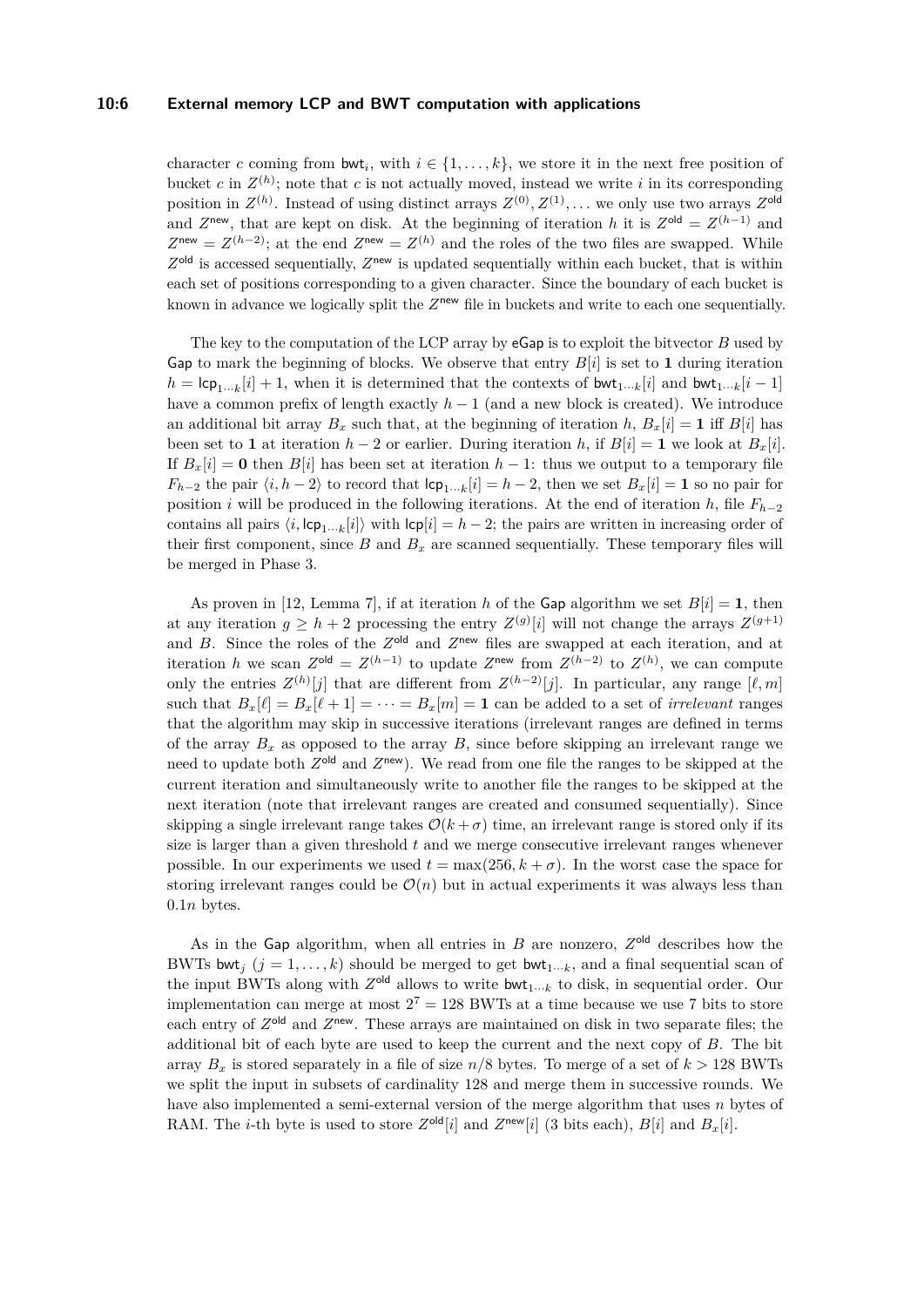#### **10:6 External memory LCP and BWT computation with applications**

character *c* coming from  $\mathsf{bwt}_i$ , with  $i \in \{1, \ldots, k\}$ , we store it in the next free position of bucket *c* in  $Z^{(h)}$ ; note that *c* is not actually moved, instead we write *i* in its corresponding position in  $Z^{(h)}$ . Instead of using distinct arrays  $Z^{(0)}, Z^{(1)}, \ldots$  we only use two arrays  $Z^{\text{old}}$ and  $Z^{\text{new}}$ , that are kept on disk. At the beginning of iteration *h* it is  $Z^{\text{old}} = Z^{(h-1)}$  and  $Z^{\text{new}} = Z^{(h-2)}$ ; at the end  $Z^{\text{new}} = Z^{(h)}$  and the roles of the two files are swapped. While  $Z<sup>old</sup>$  is accessed sequentially,  $Z<sup>new</sup>$  is updated sequentially within each bucket, that is within each set of positions corresponding to a given character. Since the boundary of each bucket is known in advance we logically split the  $Z^{new}$  file in buckets and write to each one sequentially.

The key to the computation of the LCP array by eGap is to exploit the bitvector *B* used by Gap to mark the beginning of blocks. We observe that entry  $B[i]$  is set to 1 during iteration  $h = \text{lcp}_{1\cdots k}[i] + 1$ , when it is determined that the contexts of bwt<sub>1</sub> $\cdots$ *k*[*i*] and bwt<sub>1</sub> $\cdots$ *k*[*i* − 1] have a common prefix of length exactly *h* − 1 (and a new block is created). We introduce an additional bit array  $B_x$  such that, at the beginning of iteration *h*,  $B_x[i] = 1$  iff  $B[i]$  has been set to **1** at iteration  $h-2$  or earlier. During iteration h, if  $B[i] = \mathbf{1}$  we look at  $B_x[i]$ . If  $B_x[i] = \mathbf{0}$  then  $B[i]$  has been set at iteration  $h-1$ : thus we output to a temporary file *F*<sub>*h*−2</sub> the pair  $\langle i, h - 2 \rangle$  to record that  $\mathsf{lcp}_{1\cdots k}[i] = h - 2$ , then we set  $B_x[i] = \mathbf{1}$  so no pair for position *i* will be produced in the following iterations. At the end of iteration *h*, file  $F_{h-2}$ contains all pairs  $\langle i, \text{lcp}_{1\cdots k}[i] \rangle$  with  $\text{lcp}[i] = h-2$ ; the pairs are written in increasing order of their first component, since  $B$  and  $B_x$  are scanned sequentially. These temporary files will be merged in Phase 3.

As proven in [\[12,](#page-12-15) Lemma 7], if at iteration *h* of the Gap algorithm we set  $B[i] = 1$ , then at any iteration  $g \geq h + 2$  processing the entry  $Z^{(g)}[i]$  will not change the arrays  $Z^{(g+1)}$ and *B*. Since the roles of the  $Z^{\text{old}}$  and  $Z^{\text{new}}$  files are swapped at each iteration, and at iteration *h* we scan  $Z^{\text{old}} = Z^{(h-1)}$  to update  $Z^{\text{new}}$  from  $Z^{(h-2)}$  to  $Z^{(h)}$ , we can compute only the entries  $Z^{(h)}[j]$  that are different from  $Z^{(h-2)}[j]$ . In particular, any range  $[\ell, m]$ such that  $B_x[\ell] = B_x[\ell+1] = \cdots = B_x[m] = 1$  can be added to a set of *irrelevant* ranges that the algorithm may skip in successive iterations (irrelevant ranges are defined in terms of the array  $B_x$  as opposed to the array  $B$ , since before skipping an irrelevant range we need to update both  $Z^{\text{old}}$  and  $Z^{\text{new}}$ ). We read from one file the ranges to be skipped at the current iteration and simultaneously write to another file the ranges to be skipped at the next iteration (note that irrelevant ranges are created and consumed sequentially). Since skipping a single irrelevant range takes  $\mathcal{O}(k+\sigma)$  time, an irrelevant range is stored only if its size is larger than a given threshold *t* and we merge consecutive irrelevant ranges whenever possible. In our experiments we used  $t = \max(256, k + \sigma)$ . In the worst case the space for storing irrelevant ranges could be  $\mathcal{O}(n)$  but in actual experiments it was always less than 0*.*1*n* bytes.

As in the Gap algorithm, when all entries in  $B$  are nonzero,  $Z^{\text{old}}$  describes how the BWTs bwt<sub>j</sub>  $(j = 1, \ldots, k)$  should be merged to get bwt<sub>1</sub><sub>···</sub>*k*, and a final sequential scan of the input BWTs along with  $Z^{\text{old}}$  allows to write bwt<sub>1</sub>...<sub>*k*</sub> to disk, in sequential order. Our implementation can merge at most  $2^7 = 128$  BWTs at a time because we use 7 bits to store each entry of  $Z^{\text{old}}$  and  $Z^{\text{new}}$ . These arrays are maintained on disk in two separate files; the additional bit of each byte are used to keep the current and the next copy of *B*. The bit array  $B_x$  is stored separately in a file of size  $n/8$  bytes. To merge of a set of  $k > 128$  BWTs we split the input in subsets of cardinality 128 and merge them in successive rounds. We have also implemented a semi-external version of the merge algorithm that uses *n* bytes of RAM. The *i*-th byte is used to store  $Z^{\text{old}}[i]$  and  $Z^{\text{new}}[i]$  (3 bits each),  $B[i]$  and  $B_x[i]$ .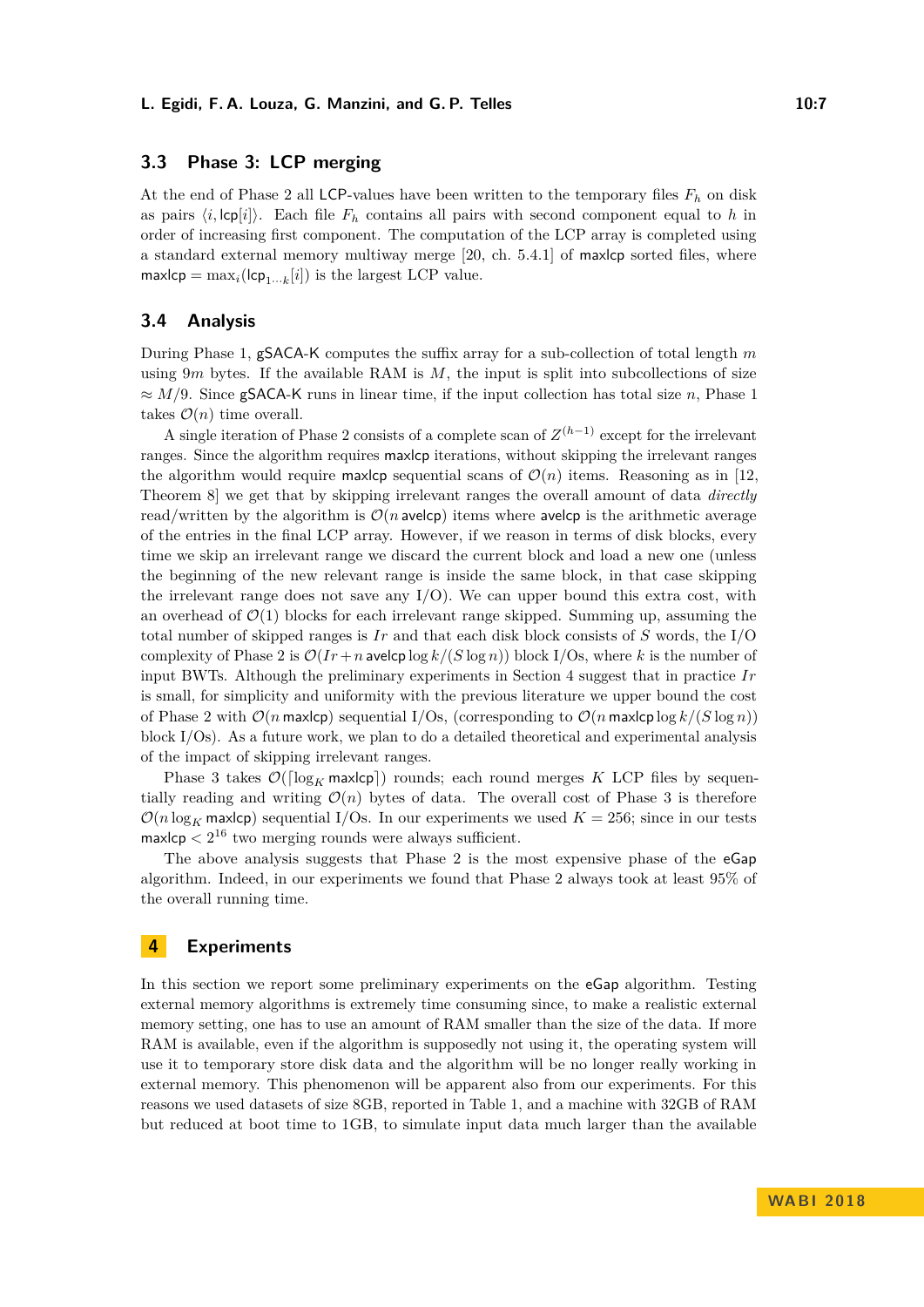# **3.3 Phase 3: LCP merging**

At the end of Phase 2 all LCP-values have been written to the temporary files *F<sup>h</sup>* on disk as pairs  $\langle i, \text{lcp}[i] \rangle$ . Each file  $F_h$  contains all pairs with second component equal to *h* in order of increasing first component. The computation of the LCP array is completed using a standard external memory multiway merge [\[20,](#page-12-17) ch. 5.4.1] of maxlcp sorted files, where  $max \lbrack c \rbrack p = \max_i (\lbrack c \rbrack p_{1\cdots k}[i])$  is the largest LCP value.

## **3.4 Analysis**

During Phase 1, gSACA-K computes the suffix array for a sub-collection of total length *m* using  $9m$  bytes. If the available RAM is  $M$ , the input is split into subcollections of size ≈ *M/*9. Since gSACA-K runs in linear time, if the input collection has total size *n*, Phase 1 takes  $\mathcal{O}(n)$  time overall.

A single iteration of Phase 2 consists of a complete scan of *Z* (*h*−1) except for the irrelevant ranges. Since the algorithm requires maxlcp iterations, without skipping the irrelevant ranges the algorithm would require maxlep sequential scans of  $\mathcal{O}(n)$  items. Reasoning as in [\[12,](#page-12-15) Theorem 8] we get that by skipping irrelevant ranges the overall amount of data *directly* read/written by the algorithm is  $\mathcal{O}(n)$  avelcp) items where avelcp is the arithmetic average of the entries in the final LCP array. However, if we reason in terms of disk blocks, every time we skip an irrelevant range we discard the current block and load a new one (unless the beginning of the new relevant range is inside the same block, in that case skipping the irrelevant range does not save any  $I/O$ . We can upper bound this extra cost, with an overhead of  $\mathcal{O}(1)$  blocks for each irrelevant range skipped. Summing up, assuming the total number of skipped ranges is *Ir* and that each disk block consists of *S* words, the I/O complexity of Phase 2 is  $\mathcal{O}(Ir + n \text{a} \text{velocity} \log k / (S \log n))$  block I/Os, where *k* is the number of input BWTs. Although the preliminary experiments in Section [4](#page-6-0) suggest that in practice *Ir* is small, for simplicity and uniformity with the previous literature we upper bound the cost of Phase 2 with  $\mathcal{O}(n \max$ lcp) sequential I/Os, (corresponding to  $\mathcal{O}(n \max$ lcp  $\log k/(S \log n))$ block I/Os). As a future work, we plan to do a detailed theoretical and experimental analysis of the impact of skipping irrelevant ranges.

Phase 3 takes  $\mathcal{O}(\lceil \log_K \mathsf{max}(\mathsf{c}_F) \rceil)$  rounds; each round merges *K* LCP files by sequentially reading and writing  $\mathcal{O}(n)$  bytes of data. The overall cost of Phase 3 is therefore  $\mathcal{O}(n \log_K \text{max}$ cp) sequential I/Os. In our experiments we used  $K = 256$ ; since in our tests  $max$ lcp  $\lt 2^{16}$  two merging rounds were always sufficient.

The above analysis suggests that Phase 2 is the most expensive phase of the eGap algorithm. Indeed, in our experiments we found that Phase 2 always took at least 95% of the overall running time.

## <span id="page-6-0"></span>**4 Experiments**

In this section we report some preliminary experiments on the eGap algorithm. Testing external memory algorithms is extremely time consuming since, to make a realistic external memory setting, one has to use an amount of RAM smaller than the size of the data. If more RAM is available, even if the algorithm is supposedly not using it, the operating system will use it to temporary store disk data and the algorithm will be no longer really working in external memory. This phenomenon will be apparent also from our experiments. For this reasons we used datasets of size 8GB, reported in Table [1,](#page-7-0) and a machine with 32GB of RAM but reduced at boot time to 1GB, to simulate input data much larger than the available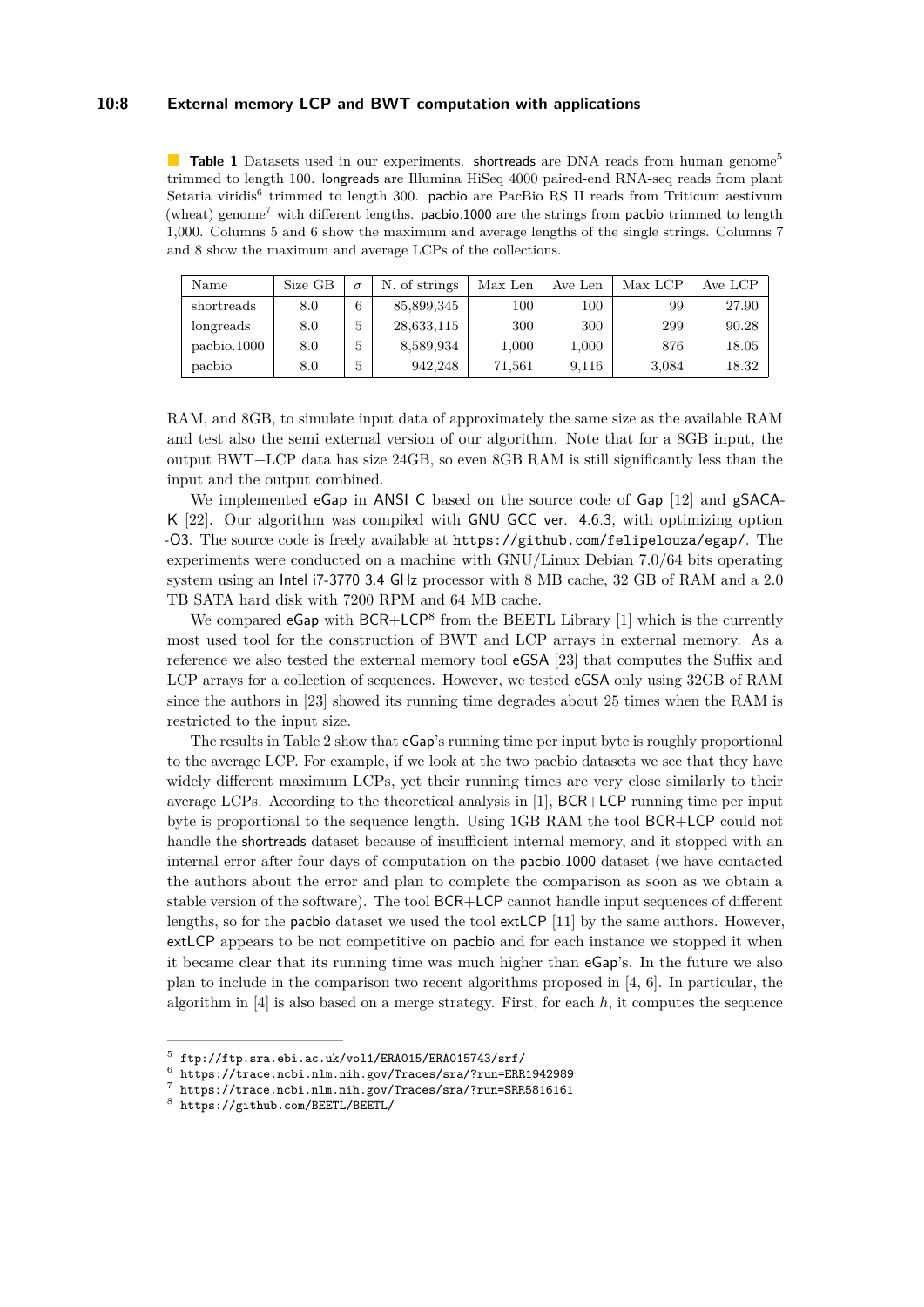## **10:8 External memory LCP and BWT computation with applications**

<span id="page-7-0"></span>**Table 1** Datasets used in our experiments. shortreads are DNA reads from human genome<sup>5</sup> trimmed to length 100. longreads are Illumina HiSeq 4000 paired-end RNA-seq reads from plant Setaria viridis<sup>6</sup> trimmed to length 300. pacbio are PacBio RS II reads from Triticum aestivum (wheat) genome<sup>7</sup> with different lengths. pacbio.1000 are the strings from pacbio trimmed to length 1,000. Columns 5 and 6 show the maximum and average lengths of the single strings. Columns 7 and 8 show the maximum and average LCPs of the collections.

| Name        | Size GB | $\sigma$ | N. of strings | Max Len | Ave Len   | Max LCP | Ave LCP   |
|-------------|---------|----------|---------------|---------|-----------|---------|-----------|
| shortreads  | 8.0     | 6        | 85,899,345    | 100     | 100       | 99      | 27.90     |
| longreads   | 8.0     | 5        | 28,633,115    | 300     | 300       | 299     | 90.28     |
| pachio.1000 | 8.0     | b        | 8,589,934     | 1,000   | $1{,}000$ | 876     | $18.05\,$ |
| pacbio      | 8.0     | 5        | 942.248       | 71,561  | 9.116     | 3,084   | 18.32     |

RAM, and 8GB, to simulate input data of approximately the same size as the available RAM and test also the semi external version of our algorithm. Note that for a 8GB input, the output BWT+LCP data has size 24GB, so even 8GB RAM is still significantly less than the input and the output combined.

We implemented eGap in ANSI C based on the source code of Gap [\[12\]](#page-12-15) and gSACA-K [\[22\]](#page-13-12). Our algorithm was compiled with GNU GCC ver. 4.6.3, with optimizing option -O3. The source code is freely available at <https://github.com/felipelouza/egap/>. The experiments were conducted on a machine with GNU/Linux Debian 7.0/64 bits operating system using an Intel i7-3770 3.4 GHz processor with 8 MB cache, 32 GB of RAM and a 2.0 TB SATA hard disk with 7200 RPM and 64 MB cache.

We compared  $eGap$  with  $BCR+LCP<sup>8</sup>$  $BCR+LCP<sup>8</sup>$  $BCR+LCP<sup>8</sup>$  from the BEETL Library [\[1\]](#page-12-6) which is the currently most used tool for the construction of BWT and LCP arrays in external memory. As a reference we also tested the external memory tool eGSA [\[23\]](#page-13-5) that computes the Suffix and LCP arrays for a collection of sequences. However, we tested eGSA only using 32GB of RAM since the authors in [\[23\]](#page-13-5) showed its running time degrades about 25 times when the RAM is restricted to the input size.

The results in Table [2](#page-8-0) show that eGap's running time per input byte is roughly proportional to the average LCP. For example, if we look at the two pacbio datasets we see that they have widely different maximum LCPs, yet their running times are very close similarly to their average LCPs. According to the theoretical analysis in [\[1\]](#page-12-6), BCR+LCP running time per input byte is proportional to the sequence length. Using 1GB RAM the tool BCR+LCP could not handle the shortreads dataset because of insufficient internal memory, and it stopped with an internal error after four days of computation on the pacbio.1000 dataset (we have contacted the authors about the error and plan to complete the comparison as soon as we obtain a stable version of the software). The tool BCR+LCP cannot handle input sequences of different lengths, so for the pacbio dataset we used the tool extLCP [\[11\]](#page-12-7) by the same authors. However, extLCP appears to be not competitive on pacbio and for each instance we stopped it when it became clear that its running time was much higher than eGap's. In the future we also plan to include in the comparison two recent algorithms proposed in [\[4,](#page-12-8) [6\]](#page-12-18). In particular, the algorithm in  $[4]$  is also based on a merge strategy. First, for each  $h$ , it computes the sequence

 $^5$  <ftp://ftp.sra.ebi.ac.uk/vol1/ERA015/ERA015743/srf/>

<sup>&</sup>lt;sup>6</sup> <https://trace.ncbi.nlm.nih.gov/Traces/sra/?run=ERR1942989><br><sup>7</sup> https://trace.ncbi.nlm.nih.gov/Traces/sra/?run=SPP5816161

<https://trace.ncbi.nlm.nih.gov/Traces/sra/?run=SRR5816161>

<span id="page-7-1"></span><sup>8</sup> <https://github.com/BEETL/BEETL/>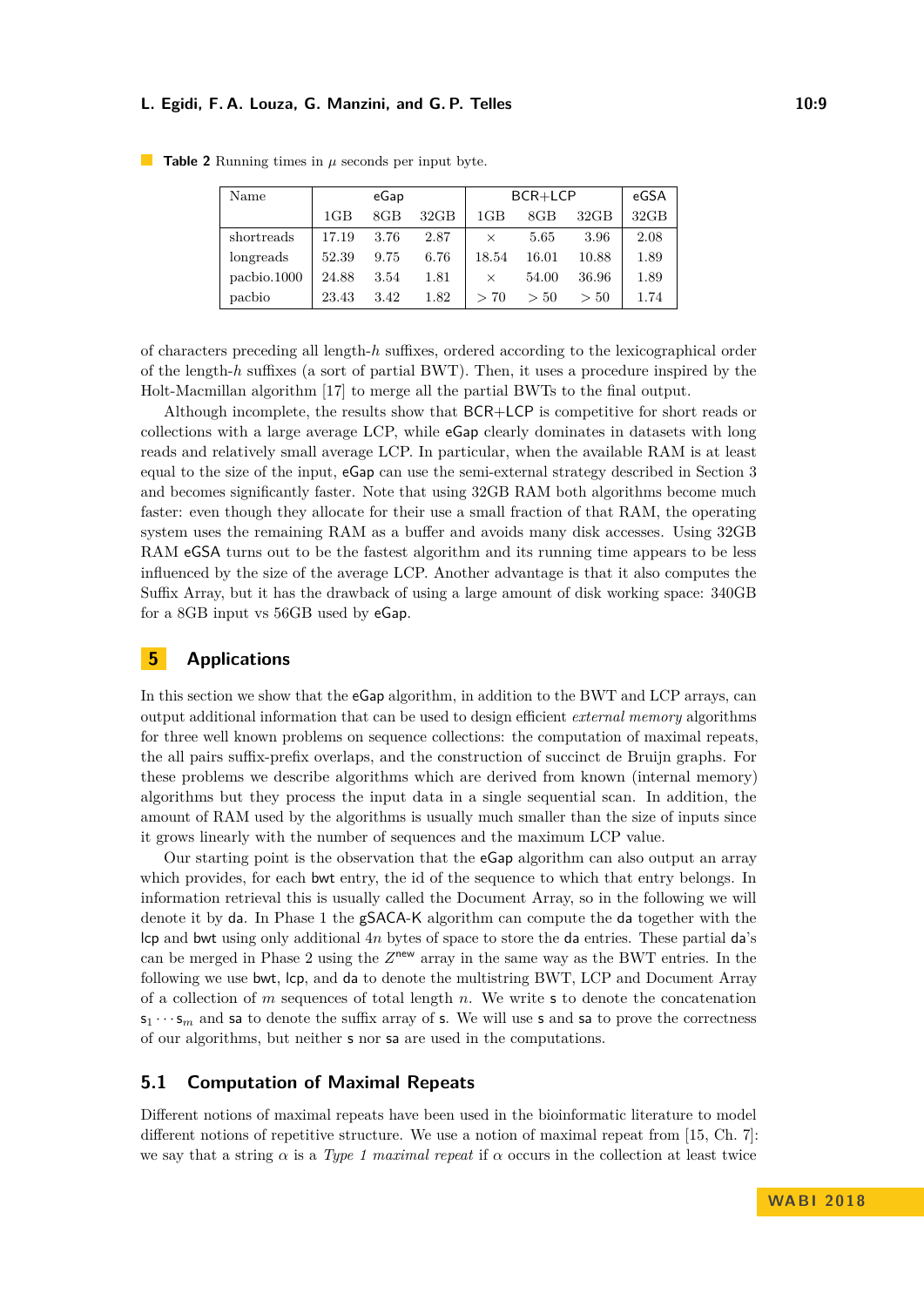#### **L. Egidi, F. A. Louza, G. Manzini, and G. P. Telles 10:9**

| Name        |       | eGap   |      | BCR+LCP  | eGSA   |       |      |
|-------------|-------|--------|------|----------|--------|-------|------|
|             | 1GB   | $8$ GB | 32GB | 1GB      | $8$ GB | 32GB  | 32GB |
| shortreads  | 17.19 | 3.76   | 2.87 | $\times$ | 5.65   | 3.96  | 2.08 |
| longreads   | 52.39 | 9.75   | 6.76 | 18.54    | 16.01  | 10.88 | 1.89 |
| pachio.1000 | 24.88 | 3.54   | 1.81 | $\times$ | 54.00  | 36.96 | 1.89 |
| pachio      | 23.43 | 3.42   | 1.82 | > 70     | > 50   | > 50  | 1.74 |

<span id="page-8-0"></span>■ **Table 2** Running times in  $\mu$  seconds per input byte.

of characters preceding all length-*h* suffixes, ordered according to the lexicographical order of the length-*h* suffixes (a sort of partial BWT). Then, it uses a procedure inspired by the Holt-Macmillan algorithm [\[17\]](#page-12-16) to merge all the partial BWTs to the final output.

Although incomplete, the results show that BCR+LCP is competitive for short reads or collections with a large average LCP, while eGap clearly dominates in datasets with long reads and relatively small average LCP. In particular, when the available RAM is at least equal to the size of the input, eGap can use the semi-external strategy described in Section [3](#page-4-1) and becomes significantly faster. Note that using 32GB RAM both algorithms become much faster: even though they allocate for their use a small fraction of that RAM, the operating system uses the remaining RAM as a buffer and avoids many disk accesses. Using 32GB RAM eGSA turns out to be the fastest algorithm and its running time appears to be less influenced by the size of the average LCP. Another advantage is that it also computes the Suffix Array, but it has the drawback of using a large amount of disk working space: 340GB for a 8GB input vs 56GB used by eGap.

# **5 Applications**

In this section we show that the **eGap** algorithm, in addition to the BWT and LCP arrays, can output additional information that can be used to design efficient *external memory* algorithms for three well known problems on sequence collections: the computation of maximal repeats, the all pairs suffix-prefix overlaps, and the construction of succinct de Bruijn graphs. For these problems we describe algorithms which are derived from known (internal memory) algorithms but they process the input data in a single sequential scan. In addition, the amount of RAM used by the algorithms is usually much smaller than the size of inputs since it grows linearly with the number of sequences and the maximum LCP value.

Our starting point is the observation that the eGap algorithm can also output an array which provides, for each bwt entry, the id of the sequence to which that entry belongs. In information retrieval this is usually called the Document Array, so in the following we will denote it by da. In Phase 1 the gSACA-K algorithm can compute the da together with the lcp and bwt using only additional 4*n* bytes of space to store the da entries. These partial da's can be merged in Phase 2 using the  $Z^{new}$  array in the same way as the BWT entries. In the following we use bwt, lcp, and da to denote the multistring BWT, LCP and Document Array of a collection of *m* sequences of total length *n*. We write s to denote the concatenation  $s_1 \cdots s_m$  and sa to denote the suffix array of s. We will use s and sa to prove the correctness of our algorithms, but neither s nor sa are used in the computations.

## **5.1 Computation of Maximal Repeats**

Different notions of maximal repeats have been used in the bioinformatic literature to model different notions of repetitive structure. We use a notion of maximal repeat from [\[15,](#page-12-19) Ch. 7]: we say that a string  $\alpha$  is a *Type 1 maximal repeat* if  $\alpha$  occurs in the collection at least twice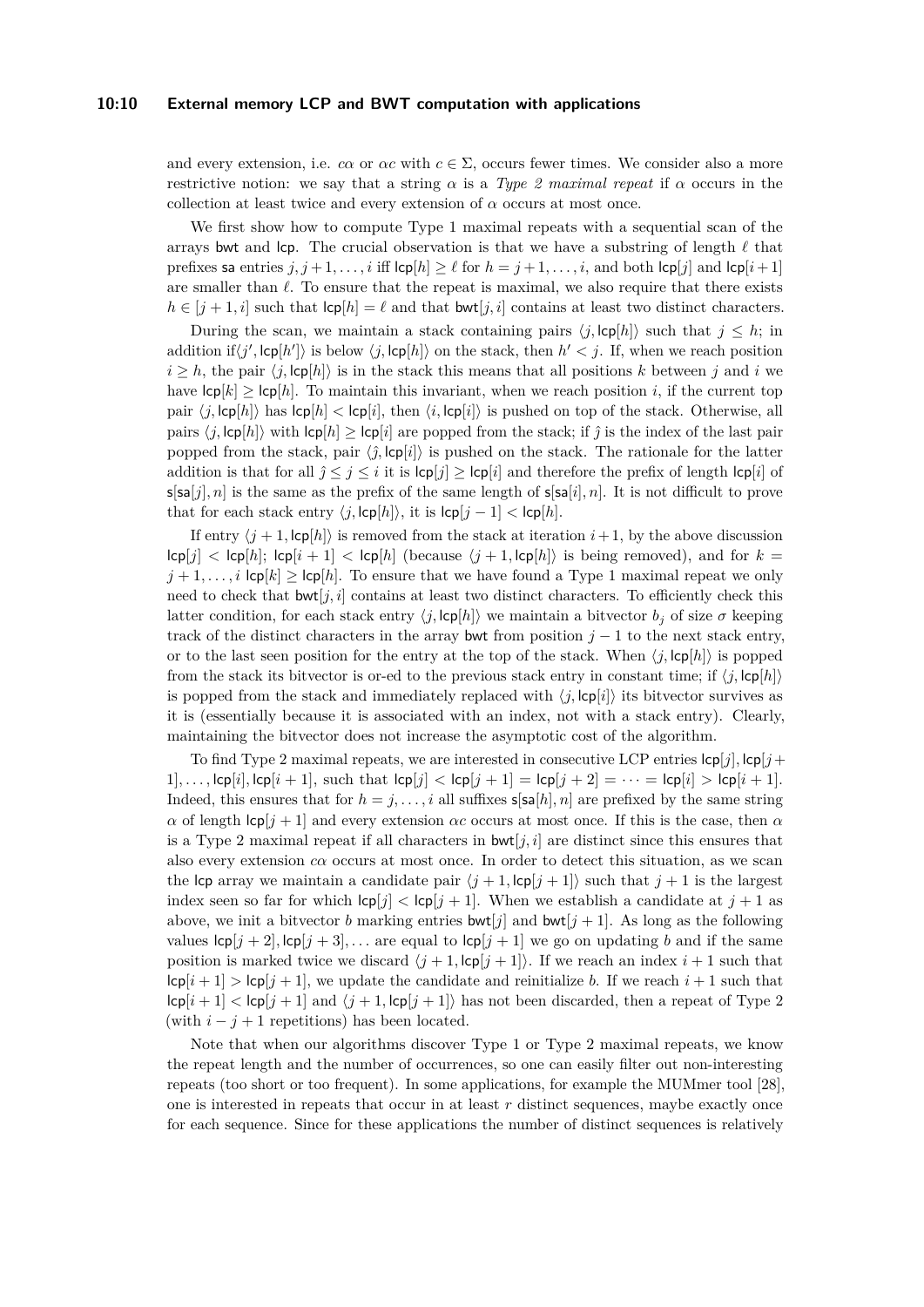#### **10:10 External memory LCP and BWT computation with applications**

and every extension, i.e. *cα* or *αc* with  $c \in \Sigma$ , occurs fewer times. We consider also a more restrictive notion: we say that a string  $\alpha$  is a *Type 2 maximal repeat* if  $\alpha$  occurs in the collection at least twice and every extension of  $\alpha$  occurs at most once.

We first show how to compute Type 1 maximal repeats with a sequential scan of the arrays bwt and lcp. The crucial observation is that we have a substring of length  $\ell$  that prefixes sa entries  $j, j+1, \ldots, i$  iff  $\text{lcp}[h] \geq \ell$  for  $h = j+1, \ldots, i$ , and both  $\text{lcp}[j]$  and  $\text{lcp}[i+1]$ are smaller than  $\ell$ . To ensure that the repeat is maximal, we also require that there exists  $h \in [j + 1, i]$  such that  $\text{lcp}|h| = \ell$  and that  $\text{bwt}|j, i|$  contains at least two distinct characters.

During the scan, we maintain a stack containing pairs  $\langle j, \text{lcp}[h] \rangle$  such that  $j \leq h$ ; in addition if  $\langle j', lcp[h'] \rangle$  is below  $\langle j, lcp[h] \rangle$  on the stack, then  $h' < j$ . If, when we reach position  $i > h$ , the pair  $\langle j, \text{lcp}[h] \rangle$  is in the stack this means that all positions *k* between *j* and *i* we have  $\text{lcp}[k] \geq \text{lcp}[h]$ . To maintain this invariant, when we reach position *i*, if the current top pair  $\langle j, \text{lcp}[h] \rangle$  has  $\text{lcp}[h] < \text{lcp}[i]$ , then  $\langle i, \text{lcp}[i] \rangle$  is pushed on top of the stack. Otherwise, all pairs  $\langle j, \text{lcp}[h] \rangle$  with  $\text{lcp}[h] \geq \text{lcp}[i]$  are popped from the stack; if  $\hat{j}$  is the index of the last pair popped from the stack, pair  $\langle \hat{j}, \text{lcp}[i] \rangle$  is pushed on the stack. The rationale for the latter addition is that for all  $\hat{j} \leq j \leq i$  it is  $\text{lcp}[j] \geq \text{lcp}[i]$  and therefore the prefix of length  $\text{lcp}[i]$  of  $s[sa[j], n]$  is the same as the prefix of the same length of  $s[sa[i], n]$ . It is not difficult to prove that for each stack entry  $\langle j$ ,  $\mathsf{lcp}[h]\rangle$ , it is  $\mathsf{lcp}[j-1] < \mathsf{lcp}[h]$ .

If entry  $\langle j+1, \text{lcp}[h] \rangle$  is removed from the stack at iteration  $i+1$ , by the above discussion  $\lvert \mathsf{c} \mathsf{p}[j] < \lvert \mathsf{c} \mathsf{p}[h]$ ;  $\lvert \mathsf{c} \mathsf{p}[i+1] < \lvert \mathsf{c} \mathsf{p}[h]$  (because  $\langle j+1, \lvert \mathsf{c} \mathsf{p}[h] \rangle$ ) is being removed), and for  $k =$  $j+1,\ldots,i$  lcp[ $k$ ]  $\geq$  lcp[ $h$ ]. To ensure that we have found a Type 1 maximal repeat we only need to check that  $\text{bwt}[j, i]$  contains at least two distinct characters. To efficiently check this latter condition, for each stack entry  $\langle j, \text{lcp}[h] \rangle$  we maintain a bitvector  $b_j$  of size  $\sigma$  keeping track of the distinct characters in the array bwt from position  $j - 1$  to the next stack entry, or to the last seen position for the entry at the top of the stack. When  $\langle j, \text{lcp}[h] \rangle$  is popped from the stack its bitvector is or-ed to the previous stack entry in constant time; if  $\langle i, \text{lcp}[h] \rangle$ is popped from the stack and immediately replaced with  $\langle j, \mathsf{lcp}[i] \rangle$  its bitvector survives as it is (essentially because it is associated with an index, not with a stack entry). Clearly, maintaining the bitvector does not increase the asymptotic cost of the algorithm.

To find Type 2 maximal repeats, we are interested in consecutive LCP entries  $|cp|j|$ ,  $|cp|j+$ 1],..., $|c|i|, |c|i + 1|$ , such that  $|c|j| < |c|j + 1| = |c|j + 2| = \cdots = |c|i| > |c|i + 1|$ . Indeed, this ensures that for  $h = j, \ldots, i$  all suffixes  $s[sa[h], n]$  are prefixed by the same string *α* of length lcp[*j* + 1] and every extension *αc* occurs at most once. If this is the case, then *α* is a Type 2 maximal repeat if all characters in  $\mathsf{bwt}[i,i]$  are distinct since this ensures that also every extension  $c\alpha$  occurs at most once. In order to detect this situation, as we scan the lcp array we maintain a candidate pair  $(j + 1, \text{lcp}[j + 1])$  such that  $j + 1$  is the largest index seen so far for which  $|c_p[j] < |c_p[j+1]|$ . When we establish a candidate at  $j+1$  as above, we init a bitvector *b* marking entries  $\mathsf{bwt}[j]$  and  $\mathsf{bwt}[j+1]$ . As long as the following values  $\text{lcp}[j + 2], \text{lcp}[j + 3], \ldots$  are equal to  $\text{lcp}[j + 1]$  we go on updating *b* and if the same position is marked twice we discard  $\langle j+1, \text{lcp}[j+1] \rangle$ . If we reach an index  $i+1$  such that  $\log[i+1] > \log[j+1]$ , we update the candidate and reinitialize *b*. If we reach  $i+1$  such that  $|c_p[i+1]|$   $\langle$  lcp[ $j+1|$ ] and  $\langle j+1, |c_p[j+1]\rangle$  has not been discarded, then a repeat of Type 2 (with  $i - j + 1$  repetitions) has been located.

Note that when our algorithms discover Type 1 or Type 2 maximal repeats, we know the repeat length and the number of occurrences, so one can easily filter out non-interesting repeats (too short or too frequent). In some applications, for example the MUMmer tool [\[28\]](#page-13-14), one is interested in repeats that occur in at least *r* distinct sequences, maybe exactly once for each sequence. Since for these applications the number of distinct sequences is relatively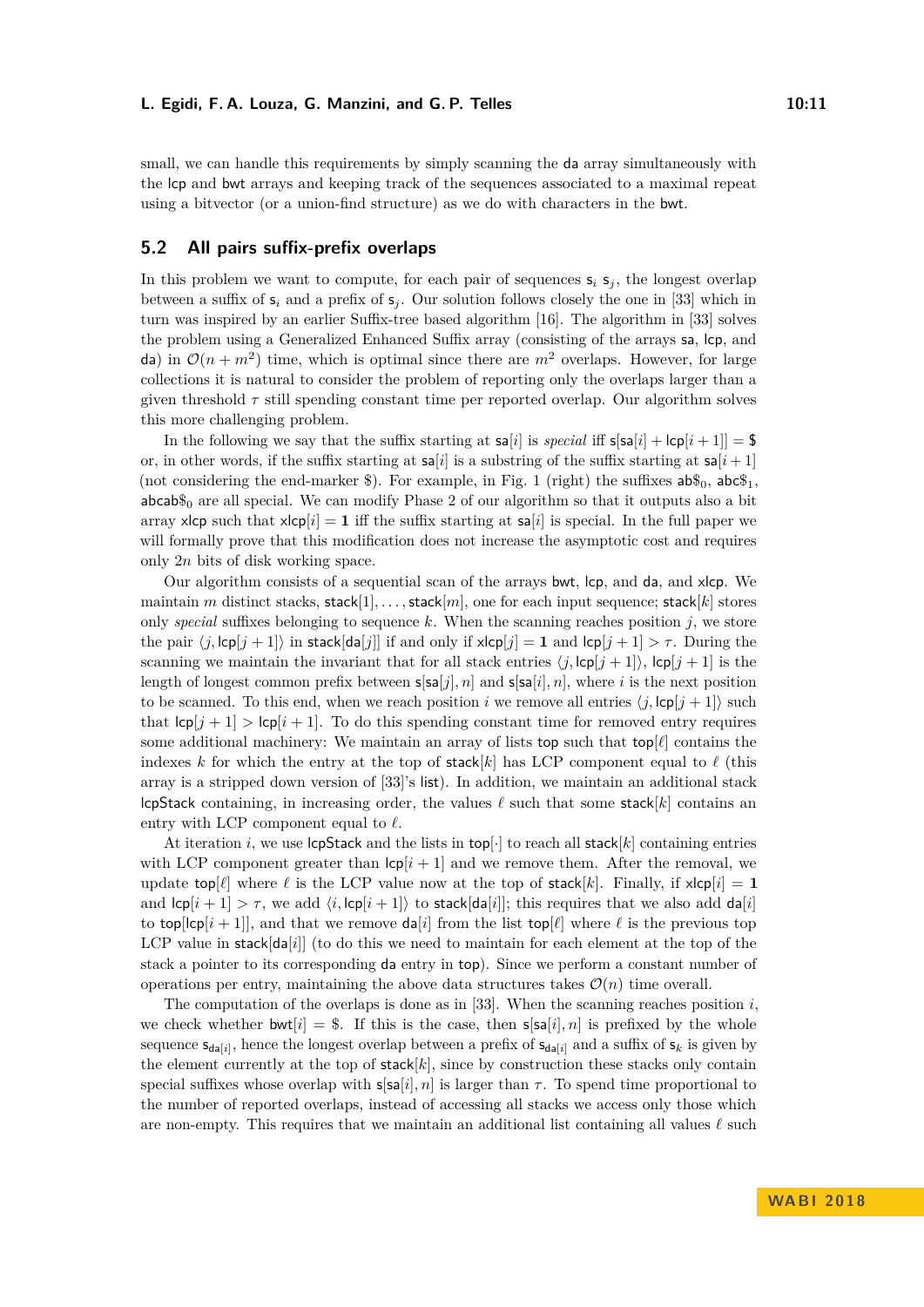small, we can handle this requirements by simply scanning the da array simultaneously with the lcp and bwt arrays and keeping track of the sequences associated to a maximal repeat using a bitvector (or a union-find structure) as we do with characters in the bwt.

## **5.2 All pairs suffix-prefix overlaps**

In this problem we want to compute, for each pair of sequences  $s_i$   $s_j$ , the longest overlap between a suffix of  $s_i$  and a prefix of  $s_j$ . Our solution follows closely the one in [\[33\]](#page-13-9) which in turn was inspired by an earlier Suffix-tree based algorithm [\[16\]](#page-12-9). The algorithm in [\[33\]](#page-13-9) solves the problem using a Generalized Enhanced Suffix array (consisting of the arrays sa, lcp, and da) in  $\mathcal{O}(n+m^2)$  time, which is optimal since there are  $m^2$  overlaps. However, for large collections it is natural to consider the problem of reporting only the overlaps larger than a given threshold  $\tau$  still spending constant time per reported overlap. Our algorithm solves this more challenging problem.

In the following we say that the suffix starting at  $\mathsf{sa}[i]$  is *special* iff  $\mathsf{s}[\mathsf{sa}[i] + \mathsf{lcp}[i+1]] = \$$ or, in other words, if the suffix starting at  $\mathsf{sa}[i]$  is a substring of the suffix starting at  $\mathsf{sa}[i+1]$ (not considering the end-marker \$). For example, in Fig. [1](#page-3-0) (right) the suffixes  $ab\mathcal{S}_0$ ,  $ab\mathcal{S}_1$ ,  $abcab\$ <sup>0</sup> are all special. We can modify Phase 2 of our algorithm so that it outputs also a bit array xlcp such that  $x\vert c\vert i\vert = 1$  iff the suffix starting at  $sa[i]$  is special. In the full paper we will formally prove that this modification does not increase the asymptotic cost and requires only 2*n* bits of disk working space.

Our algorithm consists of a sequential scan of the arrays bwt, lcp, and da, and xlcp. We maintain *m* distinct stacks, stack[1]*, . . . ,*stack[*m*], one for each input sequence; stack[*k*] stores only *special* suffixes belonging to sequence  $k$ . When the scanning reaches position  $j$ , we store the pair  $\langle j, \log(j+1] \rangle$  in stack[da[*j*]] if and only if  $x \log(j) = 1$  and  $\log(j+1) > \tau$ . During the scanning we maintain the invariant that for all stack entries  $\langle j, \text{lcp}[j + 1] \rangle$ ,  $\text{lcp}[j + 1]$  is the length of longest common prefix between  $s[**s**]<sub>[j]</sub>, n]$  and  $s[**s**]<sub>[i]</sub>, n]$ , where *i* is the next position to be scanned. To this end, when we reach position *i* we remove all entries  $\langle j, \text{lcp}[j + 1] \rangle$  such that  $\text{lcp}[j+1] > \text{lcp}[i+1]$ . To do this spending constant time for removed entry requires some additional machinery: We maintain an array of lists top such that top[ $\ell$ ] contains the indexes *k* for which the entry at the top of stack[*k*] has LCP component equal to  $\ell$  (this array is a stripped down version of [\[33\]](#page-13-9)'s list). In addition, we maintain an additional stack lcpStack containing, in increasing order, the values  $\ell$  such that some stack[ $k$ ] contains an entry with LCP component equal to  $\ell$ .

At iteration *i*, we use  $\text{lopStack}$  and the lists in  $\text{top}[\cdot]$  to reach all stack[*k*] containing entries with LCP component greater than  $|c_p[i+1]|$  and we remove them. After the removal, we update top[ $\ell$ ] where  $\ell$  is the LCP value now at the top of stack[k]. Finally, if  $x \text{lcp}[i] = 1$ and  $\text{lcp}[i+1] > \tau$ , we add  $\langle i, \text{lcp}[i+1] \rangle$  to stack[da[*i*]]; this requires that we also add da[*i*] to top[ $\text{lcp}[i+1]$ ], and that we remove da<sup>[*i*</sup>] from the list top[ $\ell$ ] where  $\ell$  is the previous top LCP value in stack $[dq[i]]$  (to do this we need to maintain for each element at the top of the stack a pointer to its corresponding da entry in top). Since we perform a constant number of operations per entry, maintaining the above data structures takes  $\mathcal{O}(n)$  time overall.

The computation of the overlaps is done as in [\[33\]](#page-13-9). When the scanning reaches position  $i$ , we check whether bwt[ $i$ ] = \$. If this is the case, then  $s[sa[i], n]$  is prefixed by the whole sequence  $\mathsf{s}_{\mathsf{da}[i]}$ , hence the longest overlap between a prefix of  $\mathsf{s}_{\mathsf{da}[i]}$  and a suffix of  $\mathsf{s}_k$  is given by the element currently at the top of  $stack[k]$ , since by construction these stacks only contain special suffixes whose overlap with  $s[sa[i], n]$  is larger than  $\tau$ . To spend time proportional to the number of reported overlaps, instead of accessing all stacks we access only those which are non-empty. This requires that we maintain an additional list containing all values  $\ell$  such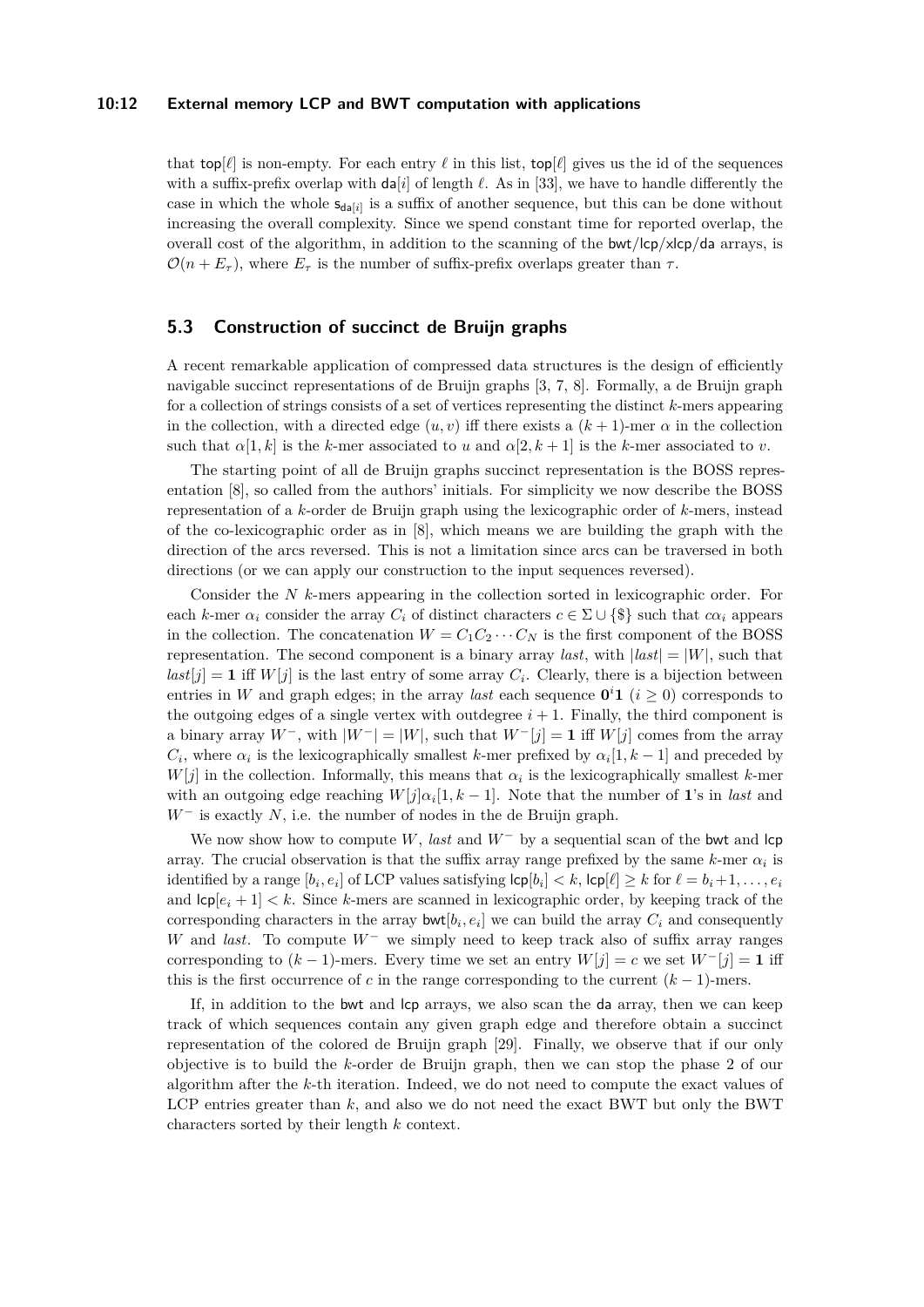#### **10:12 External memory LCP and BWT computation with applications**

that top[ $\ell$ ] is non-empty. For each entry  $\ell$  in this list, top[ $\ell$ ] gives us the id of the sequences with a suffix-prefix overlap with  $\text{da}[i]$  of length  $\ell$ . As in [\[33\]](#page-13-9), we have to handle differently the case in which the whole  $s_{da[i]}$  is a suffix of another sequence, but this can be done without increasing the overall complexity. Since we spend constant time for reported overlap, the overall cost of the algorithm, in addition to the scanning of the  $\frac{b}{\sqrt{c}}$  /s/cp/da arrays, is  $\mathcal{O}(n + E_{\tau})$ , where  $E_{\tau}$  is the number of suffix-prefix overlaps greater than  $\tau$ .

## **5.3 Construction of succinct de Bruijn graphs**

A recent remarkable application of compressed data structures is the design of efficiently navigable succinct representations of de Bruijn graphs [\[3,](#page-12-10) [7,](#page-12-11) [8\]](#page-12-12). Formally, a de Bruijn graph for a collection of strings consists of a set of vertices representing the distinct *k*-mers appearing in the collection, with a directed edge  $(u, v)$  iff there exists a  $(k + 1)$ -mer  $\alpha$  in the collection such that  $\alpha[1, k]$  is the *k*-mer associated to *u* and  $\alpha[2, k+1]$  is the *k*-mer associated to *v*.

The starting point of all de Bruijn graphs succinct representation is the BOSS representation [\[8\]](#page-12-12), so called from the authors' initials. For simplicity we now describe the BOSS representation of a *k*-order de Bruijn graph using the lexicographic order of *k*-mers, instead of the co-lexicographic order as in [\[8\]](#page-12-12), which means we are building the graph with the direction of the arcs reversed. This is not a limitation since arcs can be traversed in both directions (or we can apply our construction to the input sequences reversed).

Consider the *N k*-mers appearing in the collection sorted in lexicographic order. For each *k*-mer  $\alpha_i$  consider the array  $C_i$  of distinct characters  $c \in \Sigma \cup \{\$\}$  such that  $c\alpha_i$  appears in the collection. The concatenation  $W = C_1 C_2 \cdots C_N$  is the first component of the BOSS representation. The second component is a binary array *last*, with  $\vert last \vert = \vert W \vert$ , such that  $last[j] = 1$  iff  $W[j]$  is the last entry of some array  $C_i$ . Clearly, there is a bijection between entries in *W* and graph edges; in the array *last* each sequence  $0^i 1$  ( $i \geq 0$ ) corresponds to the outgoing edges of a single vertex with outdegree  $i + 1$ . Finally, the third component is a binary array *W*<sup>−</sup>, with  $|W^-| = |W|$ , such that  $W^-[j] = 1$  iff  $W[j]$  comes from the array *C*<sup>*i*</sup>, where  $\alpha_i$  is the lexicographically smallest *k*-mer prefixed by  $\alpha_i[1, k-1]$  and preceded by  $W[j]$  in the collection. Informally, this means that  $\alpha_i$  is the lexicographically smallest *k*-mer with an outgoing edge reaching  $W[j] \alpha_i[1, k-1]$ . Note that the number of 1's in *last* and *W*<sup>−</sup> is exactly *N*, i.e. the number of nodes in the de Bruijn graph.

We now show how to compute *W*, *last* and *W*<sup>−</sup> by a sequential scan of the bwt and lcp array. The crucial observation is that the suffix array range prefixed by the same  $k$ -mer  $\alpha_i$  is identified by a range  $[b_i, e_i]$  of LCP values satisfying  $\mathsf{lcp}[b_i] < k$ ,  $\mathsf{lcp}[\ell] \geq k$  for  $\ell = b_i + 1, \ldots, e_i$ and  $\textsf{Lip}[e_i+1] < k$ . Since *k*-mers are scanned in lexicographic order, by keeping track of the corresponding characters in the array  $\text{bwt}[b_i, e_i]$  we can build the array  $C_i$  and consequently *W* and *last*. To compute *W*<sup>−</sup> we simply need to keep track also of suffix array ranges corresponding to  $(k-1)$ -mers. Every time we set an entry  $W[j] = c$  we set  $W^{-}[j] = 1$  iff this is the first occurrence of *c* in the range corresponding to the current  $(k-1)$ -mers.

If, in addition to the bwt and lcp arrays, we also scan the da array, then we can keep track of which sequences contain any given graph edge and therefore obtain a succinct representation of the colored de Bruijn graph [\[29\]](#page-13-15). Finally, we observe that if our only objective is to build the *k*-order de Bruijn graph, then we can stop the phase 2 of our algorithm after the *k*-th iteration. Indeed, we do not need to compute the exact values of LCP entries greater than *k*, and also we do not need the exact BWT but only the BWT characters sorted by their length *k* context.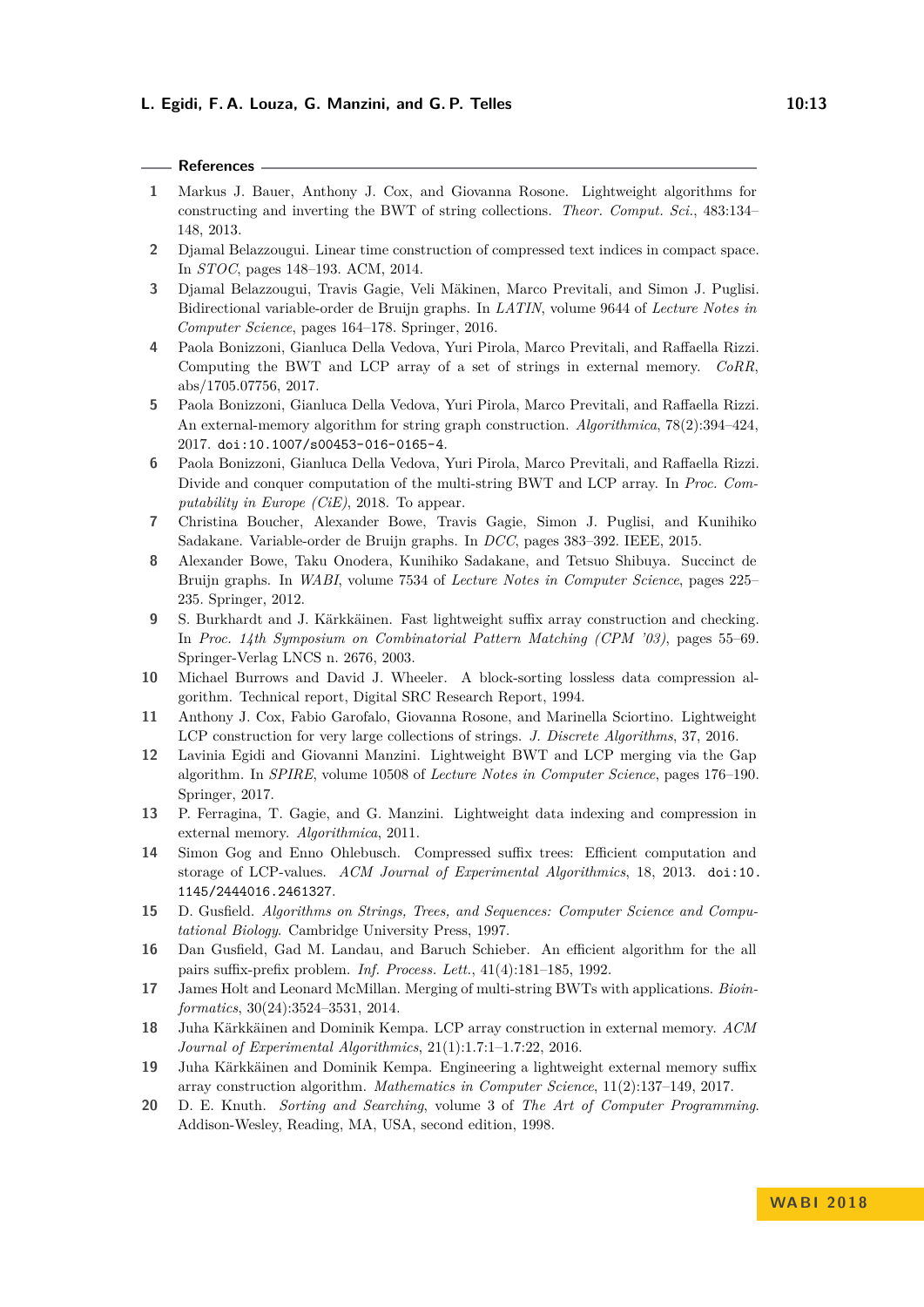| ۰ |  | w<br>I |
|---|--|--------|
|   |  |        |

# **References**

- <span id="page-12-6"></span>**1** Markus J. Bauer, Anthony J. Cox, and Giovanna Rosone. Lightweight algorithms for constructing and inverting the BWT of string collections. *Theor. Comput. Sci.*, 483:134– 148, 2013.
- <span id="page-12-5"></span>**2** Djamal Belazzougui. Linear time construction of compressed text indices in compact space. In *STOC*, pages 148–193. ACM, 2014.
- <span id="page-12-10"></span>**3** Djamal Belazzougui, Travis Gagie, Veli Mäkinen, Marco Previtali, and Simon J. Puglisi. Bidirectional variable-order de Bruijn graphs. In *LATIN*, volume 9644 of *Lecture Notes in Computer Science*, pages 164–178. Springer, 2016.
- <span id="page-12-8"></span>**4** Paola Bonizzoni, Gianluca Della Vedova, Yuri Pirola, Marco Previtali, and Raffaella Rizzi. Computing the BWT and LCP array of a set of strings in external memory. *CoRR*, abs/1705.07756, 2017.
- <span id="page-12-13"></span>**5** Paola Bonizzoni, Gianluca Della Vedova, Yuri Pirola, Marco Previtali, and Raffaella Rizzi. An external-memory algorithm for string graph construction. *Algorithmica*, 78(2):394–424, 2017. [doi:10.1007/s00453-016-0165-4](http://dx.doi.org/10.1007/s00453-016-0165-4).
- <span id="page-12-18"></span>**6** Paola Bonizzoni, Gianluca Della Vedova, Yuri Pirola, Marco Previtali, and Raffaella Rizzi. Divide and conquer computation of the multi-string BWT and LCP array. In *Proc. Computability in Europe (CiE)*, 2018. To appear.
- <span id="page-12-11"></span>**7** Christina Boucher, Alexander Bowe, Travis Gagie, Simon J. Puglisi, and Kunihiko Sadakane. Variable-order de Bruijn graphs. In *DCC*, pages 383–392. IEEE, 2015.
- <span id="page-12-12"></span>**8** Alexander Bowe, Taku Onodera, Kunihiko Sadakane, and Tetsuo Shibuya. Succinct de Bruijn graphs. In *WABI*, volume 7534 of *Lecture Notes in Computer Science*, pages 225– 235. Springer, 2012.
- <span id="page-12-1"></span>**9** S. Burkhardt and J. Kärkkäinen. Fast lightweight suffix array construction and checking. In *Proc. 14th Symposium on Combinatorial Pattern Matching (CPM '03)*, pages 55–69. Springer-Verlag LNCS n. 2676, 2003.
- <span id="page-12-14"></span>**10** Michael Burrows and David J. Wheeler. A block-sorting lossless data compression algorithm. Technical report, Digital SRC Research Report, 1994.
- <span id="page-12-7"></span>**11** Anthony J. Cox, Fabio Garofalo, Giovanna Rosone, and Marinella Sciortino. Lightweight LCP construction for very large collections of strings. *J. Discrete Algorithms*, 37, 2016.
- <span id="page-12-15"></span>**12** Lavinia Egidi and Giovanni Manzini. Lightweight BWT and LCP merging via the Gap algorithm. In *SPIRE*, volume 10508 of *Lecture Notes in Computer Science*, pages 176–190. Springer, 2017.
- <span id="page-12-2"></span>**13** P. Ferragina, T. Gagie, and G. Manzini. Lightweight data indexing and compression in external memory. *Algorithmica*, 2011.
- <span id="page-12-0"></span>**14** Simon Gog and Enno Ohlebusch. Compressed suffix trees: Efficient computation and storage of LCP-values. *ACM Journal of Experimental Algorithmics*, 18, 2013. [doi:10.](http://dx.doi.org/10.1145/2444016.2461327) [1145/2444016.2461327](http://dx.doi.org/10.1145/2444016.2461327).
- <span id="page-12-19"></span>**15** D. Gusfield. *Algorithms on Strings, Trees, and Sequences: Computer Science and Computational Biology*. Cambridge University Press, 1997.
- <span id="page-12-9"></span>**16** Dan Gusfield, Gad M. Landau, and Baruch Schieber. An efficient algorithm for the all pairs suffix-prefix problem. *Inf. Process. Lett.*, 41(4):181–185, 1992.
- <span id="page-12-16"></span>**17** James Holt and Leonard McMillan. Merging of multi-string BWTs with applications. *Bioinformatics*, 30(24):3524–3531, 2014.
- <span id="page-12-3"></span>**18** Juha Kärkkäinen and Dominik Kempa. LCP array construction in external memory. *ACM Journal of Experimental Algorithmics*, 21(1):1.7:1–1.7:22, 2016.
- <span id="page-12-4"></span>**19** Juha Kärkkäinen and Dominik Kempa. Engineering a lightweight external memory suffix array construction algorithm. *Mathematics in Computer Science*, 11(2):137–149, 2017.
- <span id="page-12-17"></span>**20** D. E. Knuth. *Sorting and Searching*, volume 3 of *The Art of Computer Programming*. Addison-Wesley, Reading, MA, USA, second edition, 1998.